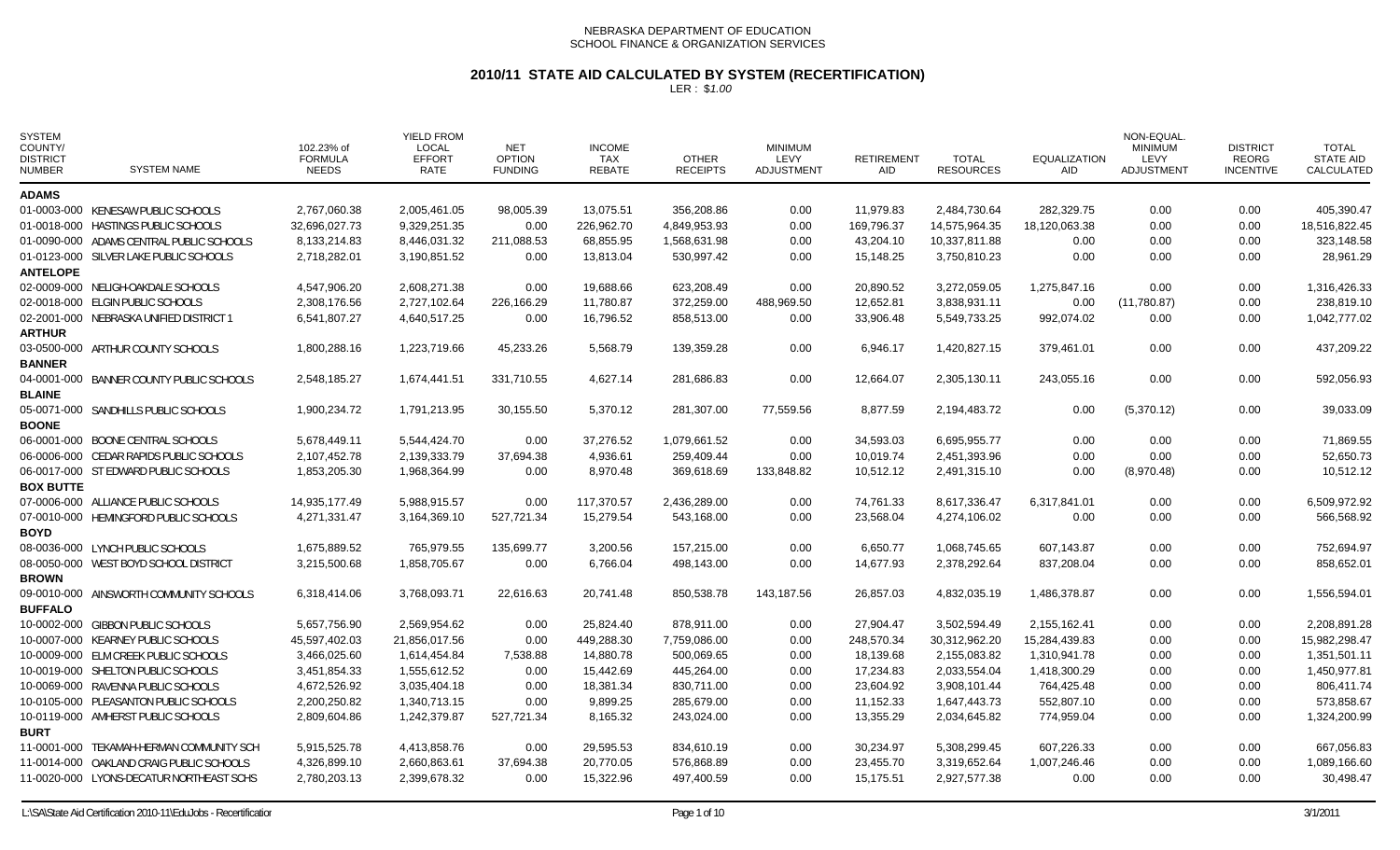# **2010/11 STATE AID CALCULATED BY SYSTEM (RECERTIFICATION)**

| <b>SYSTEM</b><br>COUNTY/<br><b>DISTRICT</b><br><b>NUMBER</b> | <b>SYSTEM NAME</b>                       | 102.23% of<br><b>FORMULA</b><br><b>NEEDS</b> | <b>YIELD FROM</b><br>LOCAL<br><b>EFFORT</b><br>RATE | <b>NET</b><br><b>OPTION</b><br><b>FUNDING</b> | <b>INCOME</b><br><b>TAX</b><br><b>REBATE</b> | <b>OTHER</b><br><b>RECEIPTS</b> | <b>MINIMUM</b><br>LEVY<br><b>ADJUSTMENT</b> | <b>RETIREMENT</b><br><b>AID</b> | <b>TOTAL</b><br><b>RESOURCES</b> | <b>EQUALIZATION</b><br><b>AID</b> | NON-EQUAL<br><b>MINIMUM</b><br><b>LEVY</b><br><b>ADJUSTMENT</b> | <b>DISTRICT</b><br><b>REORG</b><br><b>INCENTIVE</b> | <b>TOTAL</b><br><b>STATE AID</b><br>CALCULATED |
|--------------------------------------------------------------|------------------------------------------|----------------------------------------------|-----------------------------------------------------|-----------------------------------------------|----------------------------------------------|---------------------------------|---------------------------------------------|---------------------------------|----------------------------------|-----------------------------------|-----------------------------------------------------------------|-----------------------------------------------------|------------------------------------------------|
| <b>ADAMS</b>                                                 |                                          |                                              |                                                     |                                               |                                              |                                 |                                             |                                 |                                  |                                   |                                                                 |                                                     |                                                |
|                                                              | 01-0003-000 KENESAW PUBLIC SCHOOLS       | 2,767,060.38                                 | 2,005,461.05                                        | 98,005.39                                     | 13,075.51                                    | 356,208.86                      | 0.00                                        | 11,979.83                       | 2,484,730.64                     | 282,329.75                        | 0.00                                                            | 0.00                                                | 405,390.47                                     |
|                                                              | 01-0018-000 HASTINGS PUBLIC SCHOOLS      | 32,696,027.73                                | 9,329,251.35                                        | 0.00                                          | 226,962.70                                   | 4,849,953.93                    | 0.00                                        | 169,796.37                      | 14,575,964.35                    | 18,120,063.38                     | 0.00                                                            | 0.00                                                | 18,516,822.45                                  |
|                                                              | 01-0090-000 ADAMS CENTRAL PUBLIC SCHOOLS | 8,133,214.83                                 | 8,446,031.32                                        | 211,088.53                                    | 68,855.95                                    | 1,568,631.98                    | 0.00                                        | 43,204.10                       | 10,337,811.88                    | 0.00                              | 0.00                                                            | 0.00                                                | 323,148.58                                     |
|                                                              | 01-0123-000 SILVER LAKE PUBLIC SCHOOLS   | 2,718,282.01                                 | 3,190,851.52                                        | 0.00                                          | 13,813.04                                    | 530,997.42                      | 0.00                                        | 15,148.25                       | 3,750,810.23                     | 0.00                              | 0.00                                                            | 0.00                                                | 28,961.29                                      |
| <b>ANTELOPE</b>                                              |                                          |                                              |                                                     |                                               |                                              |                                 |                                             |                                 |                                  |                                   |                                                                 |                                                     |                                                |
|                                                              | 02-0009-000 NELIGH-OAKDALE SCHOOLS       | 4,547,906.20                                 | 2,608,271.38                                        | 0.00                                          | 19,688.66                                    | 623,208.49                      | 0.00                                        | 20,890.52                       | 3,272,059.05                     | 1,275,847.16                      | 0.00                                                            | 0.00                                                | 1,316,426.33                                   |
|                                                              | 02-0018-000 ELGIN PUBLIC SCHOOLS         | 2,308,176.56                                 | 2,727,102.64                                        | 226,166.29                                    | 11,780.87                                    | 372,259.00                      | 488,969.50                                  | 12,652.81                       | 3,838,931.11                     | 0.00                              | (11,780.87)                                                     | 0.00                                                | 238,819.10                                     |
|                                                              | 02-2001-000 NEBRASKA UNIFIED DISTRICT 1  | 6,541,807.27                                 | 4,640,517.25                                        | 0.00                                          | 16,796.52                                    | 858,513.00                      | 0.00                                        | 33,906.48                       | 5,549,733.25                     | 992,074.02                        | 0.00                                                            | 0.00                                                | 1,042,777.02                                   |
| <b>ARTHUR</b>                                                |                                          |                                              |                                                     |                                               |                                              |                                 |                                             |                                 |                                  |                                   |                                                                 |                                                     |                                                |
|                                                              | 03-0500-000 ARTHUR COUNTY SCHOOLS        | 1,800,288.16                                 | 1,223,719.66                                        | 45,233.26                                     | 5,568.79                                     | 139,359.28                      | 0.00                                        | 6,946.17                        | 1,420,827.15                     | 379,461.01                        | 0.00                                                            | 0.00                                                | 437,209.22                                     |
| <b>BANNER</b>                                                |                                          |                                              |                                                     |                                               |                                              |                                 |                                             |                                 |                                  |                                   |                                                                 |                                                     |                                                |
|                                                              | 04-0001-000 BANNER COUNTY PUBLIC SCHOOLS | 2,548,185.27                                 | 1,674,441.51                                        | 331,710.55                                    | 4,627.14                                     | 281,686.83                      | 0.00                                        | 12,664.07                       | 2,305,130.11                     | 243,055.16                        | 0.00                                                            | 0.00                                                | 592,056.93                                     |
| <b>BLAINE</b>                                                |                                          |                                              |                                                     |                                               |                                              |                                 |                                             |                                 |                                  |                                   |                                                                 |                                                     |                                                |
|                                                              | 05-0071-000 SANDHILLS PUBLIC SCHOOLS     | 1,900,234.72                                 | 1,791,213.95                                        | 30,155.50                                     | 5,370.12                                     | 281,307.00                      | 77,559.56                                   | 8,877.59                        | 2,194,483.72                     | 0.00                              | (5,370.12)                                                      | 0.00                                                | 39,033.09                                      |
| <b>BOONE</b>                                                 |                                          |                                              |                                                     |                                               |                                              |                                 |                                             |                                 |                                  |                                   |                                                                 |                                                     |                                                |
|                                                              | 06-0001-000 BOONE CENTRAL SCHOOLS        | 5,678,449.11                                 | 5,544,424.70                                        | 0.00                                          | 37,276.52                                    | 1,079,661.52                    | 0.00                                        | 34,593.03                       | 6,695,955.77                     | 0.00                              | 0.00                                                            | 0.00                                                | 71,869.55                                      |
|                                                              | 06-0006-000 CEDAR RAPIDS PUBLIC SCHOOLS  | 2,107,452.78                                 | 2,139,333.79                                        | 37,694.38                                     | 4,936.61                                     | 259,409.44                      | 0.00                                        | 10,019.74                       | 2,451,393.96                     | 0.00                              | 0.00                                                            | 0.00                                                | 52,650.73                                      |
|                                                              | 06-0017-000 ST EDWARD PUBLIC SCHOOLS     | 1,853,205.30                                 | 1,968,364.99                                        | 0.00                                          | 8,970.48                                     | 369,618.69                      | 133,848.82                                  | 10,512.12                       | 2,491,315.10                     | 0.00                              | (8,970.48)                                                      | 0.00                                                | 10,512.12                                      |
| <b>BOX BUTTE</b>                                             |                                          |                                              |                                                     |                                               |                                              |                                 |                                             |                                 |                                  |                                   |                                                                 |                                                     |                                                |
|                                                              | 07-0006-000 ALLIANCE PUBLIC SCHOOLS      | 14,935,177.49                                | 5.988.915.57                                        | 0.00                                          | 117,370.57                                   | 2,436,289.00                    | 0.00                                        | 74,761.33                       | 8,617,336.47                     | 6,317,841.01                      | 0.00                                                            | 0.00                                                | 6,509,972.92                                   |
|                                                              | 07-0010-000 HEMINGFORD PUBLIC SCHOOLS    | 4,271,331.47                                 | 3,164,369.10                                        | 527,721.34                                    | 15,279.54                                    | 543,168.00                      | 0.00                                        | 23,568.04                       | 4,274,106.02                     | 0.00                              | 0.00                                                            | 0.00                                                | 566,568.92                                     |
| <b>BOYD</b>                                                  |                                          |                                              |                                                     |                                               |                                              |                                 |                                             |                                 |                                  |                                   |                                                                 |                                                     |                                                |
|                                                              | 08-0036-000 LYNCH PUBLIC SCHOOLS         | 1,675,889.52                                 | 765,979.55                                          | 135,699.77                                    | 3,200.56                                     | 157,215.00                      | 0.00                                        | 6,650.77                        | 1,068,745.65                     | 607,143.87                        | 0.00                                                            | 0.00                                                | 752,694.97                                     |
|                                                              | 08-0050-000 WEST BOYD SCHOOL DISTRICT    | 3,215,500.68                                 | 1,858,705.67                                        | 0.00                                          | 6,766.04                                     | 498.143.00                      | 0.00                                        | 14.677.93                       | 2,378,292.64                     | 837,208.04                        | 0.00                                                            | 0.00                                                | 858,652.01                                     |
| <b>BROWN</b>                                                 |                                          |                                              |                                                     |                                               |                                              |                                 |                                             |                                 |                                  |                                   |                                                                 |                                                     |                                                |
|                                                              | 09-0010-000 AINSWORTH COMMUNITY SCHOOLS  | 6,318,414.06                                 | 3,768,093.71                                        | 22,616.63                                     | 20,741.48                                    | 850,538.78                      | 143,187.56                                  | 26,857.03                       | 4,832,035.19                     | 1,486,378.87                      | 0.00                                                            | 0.00                                                | 1,556,594.01                                   |
| <b>BUFFALO</b>                                               |                                          |                                              |                                                     |                                               |                                              |                                 |                                             |                                 |                                  |                                   |                                                                 |                                                     |                                                |
|                                                              | 10-0002-000 GIBBON PUBLIC SCHOOLS        | 5,657,756.90                                 | 2,569,954.62                                        | 0.00                                          | 25,824.40                                    | 878,911.00                      | 0.00                                        | 27,904.47                       | 3,502,594.49                     | 2,155,162.41                      | 0.00                                                            | 0.00                                                | 2,208,891.28                                   |
|                                                              | 10-0007-000 KEARNEY PUBLIC SCHOOLS       | 45,597,402.03                                | 21,856,017.56                                       | 0.00                                          | 449,288.30                                   | 7,759,086.00                    | 0.00                                        | 248,570.34                      | 30,312,962.20                    | 15,284,439.83                     | 0.00                                                            | 0.00                                                | 15,982,298.47                                  |
|                                                              | 10-0009-000 ELM CREEK PUBLIC SCHOOLS     | 3,466,025.60                                 | 1,614,454.84                                        | 7,538.88                                      | 14,880.78                                    | 500,069.65                      | 0.00                                        | 18,139.68                       | 2,155,083.82                     | 1,310,941.78                      | 0.00                                                            | 0.00                                                | 1,351,501.11                                   |
|                                                              | 10-0019-000 SHELTON PUBLIC SCHOOLS       | 3,451,854.33                                 | 1,555,612.52                                        | 0.00                                          | 15,442.69                                    | 445,264.00                      | 0.00                                        | 17,234.83                       | 2,033,554.04                     | 1,418,300.29                      | 0.00                                                            | 0.00                                                | 1,450,977.81                                   |
|                                                              | 10-0069-000 RAVENNA PUBLIC SCHOOLS       | 4,672,526.92                                 | 3,035,404.18                                        | 0.00                                          | 18,381.34                                    | 830,711.00                      | 0.00                                        | 23,604.92                       | 3,908,101.44                     | 764,425.48                        | 0.00                                                            | 0.00                                                | 806,411.74                                     |
|                                                              | 10-0105-000 PLEASANTON PUBLIC SCHOOLS    | 2,200,250.82                                 | 1,340,713.15                                        | 0.00                                          | 9,899.25                                     | 285,679.00                      | 0.00                                        | 11,152.33                       | 1,647,443.73                     | 552,807.10                        | 0.00                                                            | 0.00                                                | 573,858.67                                     |
|                                                              | 10-0119-000 AMHERST PUBLIC SCHOOLS       | 2,809,604.86                                 | 1,242,379.87                                        | 527,721.34                                    | 8,165.32                                     | 243,024.00                      | 0.00                                        | 13,355.29                       | 2,034,645.82                     | 774,959.04                        | 0.00                                                            | 0.00                                                | 1,324,200.99                                   |
| <b>BURT</b>                                                  |                                          |                                              |                                                     |                                               |                                              |                                 |                                             |                                 |                                  |                                   |                                                                 |                                                     |                                                |
|                                                              | 11-0001-000 TEKAMAH-HERMAN COMMUNITY SCH | 5,915,525.78                                 | 4,413,858.76                                        | 0.00                                          | 29,595.53                                    | 834,610.19                      | 0.00                                        | 30,234.97                       | 5,308,299.45                     | 607,226.33                        | 0.00                                                            | 0.00                                                | 667,056.83                                     |
|                                                              | 11-0014-000 OAKLAND CRAIG PUBLIC SCHOOLS | 4,326,899.10                                 | 2,660,863.61                                        | 37,694.38                                     | 20,770.05                                    | 576,868.89                      | 0.00                                        | 23,455.70                       | 3,319,652.64                     | 1,007,246.46                      | 0.00                                                            | 0.00                                                | 1,089,166.60                                   |
|                                                              | 11-0020-000 LYONS-DECATUR NORTHEAST SCHS | 2,780,203.13                                 | 2,399,678.32                                        | 0.00                                          | 15,322.96                                    | 497,400.59                      | 0.00                                        | 15,175.51                       | 2,927,577.38                     | 0.00                              | 0.00                                                            | 0.00                                                | 30,498.47                                      |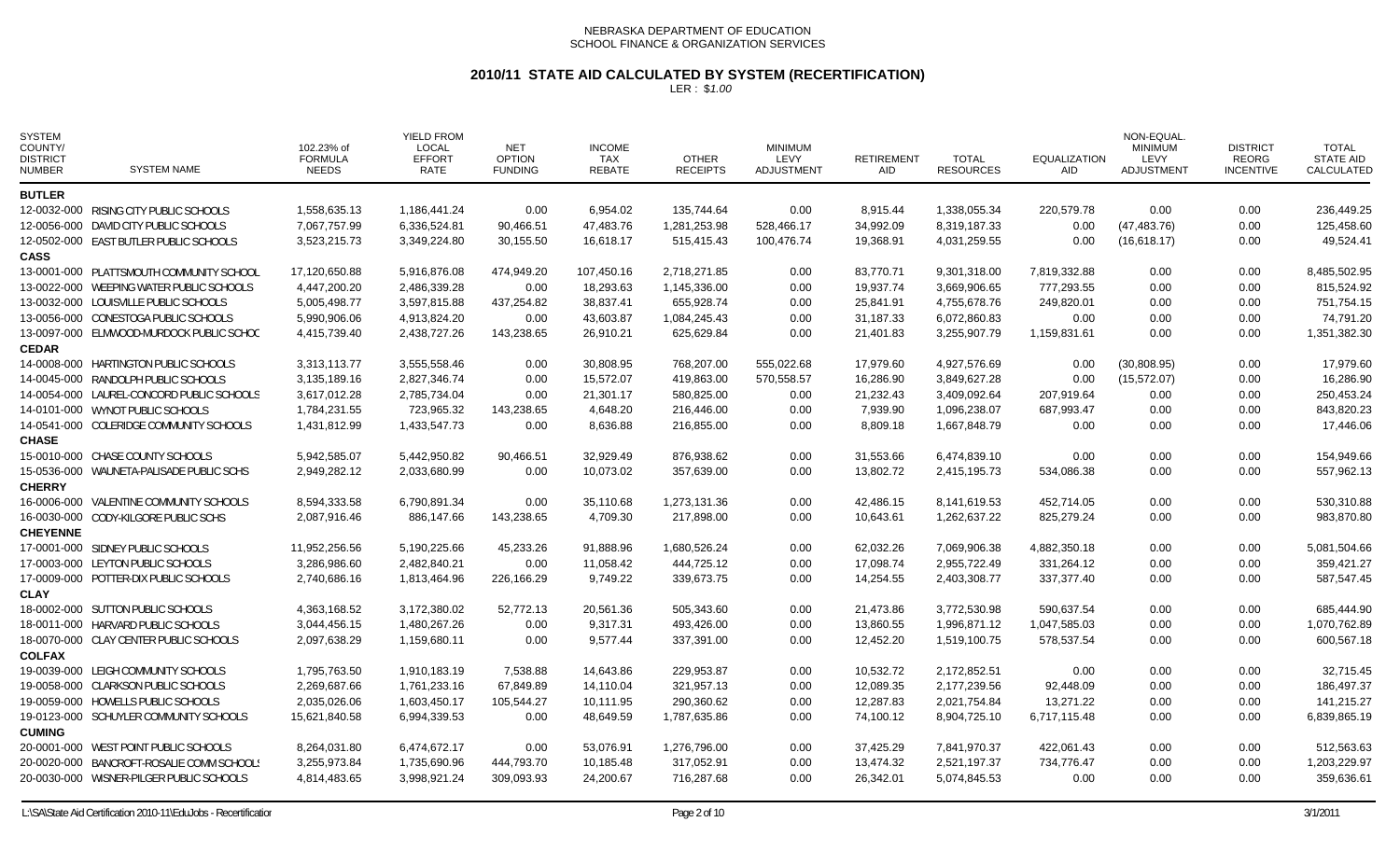# **2010/11 STATE AID CALCULATED BY SYSTEM (RECERTIFICATION)**

| <b>SYSTEM</b><br>COUNTY/<br><b>DISTRICT</b><br><b>NUMBER</b> | <b>SYSTEM NAME</b>                        | 102.23% of<br><b>FORMULA</b><br><b>NEEDS</b> | <b>YIELD FROM</b><br><b>LOCAL</b><br><b>EFFORT</b><br><b>RATE</b> | <b>NET</b><br><b>OPTION</b><br><b>FUNDING</b> | <b>INCOME</b><br>TAX<br><b>REBATE</b> | <b>OTHER</b><br><b>RECEIPTS</b> | <b>MINIMUM</b><br>LEVY<br><b>ADJUSTMENT</b> | <b>RETIREMENT</b><br><b>AID</b> | <b>TOTAL</b><br><b>RESOURCES</b> | <b>EQUALIZATION</b><br><b>AID</b> | <b>NON-EQUAL</b><br><b>MINIMUM</b><br>LEVY<br><b>ADJUSTMENT</b> | <b>DISTRICT</b><br><b>REORG</b><br><b>INCENTIVE</b> | <b>TOTAL</b><br><b>STATE AID</b><br>CALCULATED |
|--------------------------------------------------------------|-------------------------------------------|----------------------------------------------|-------------------------------------------------------------------|-----------------------------------------------|---------------------------------------|---------------------------------|---------------------------------------------|---------------------------------|----------------------------------|-----------------------------------|-----------------------------------------------------------------|-----------------------------------------------------|------------------------------------------------|
| <b>BUTLER</b>                                                |                                           |                                              |                                                                   |                                               |                                       |                                 |                                             |                                 |                                  |                                   |                                                                 |                                                     |                                                |
|                                                              | 12-0032-000 RISING CITY PUBLIC SCHOOLS    | 1,558,635.13                                 | 1,186,441.24                                                      | 0.00                                          | 6,954.02                              | 135.744.64                      | 0.00                                        | 8,915.44                        | 1,338,055.34                     | 220,579.78                        | 0.00                                                            | 0.00                                                | 236,449.25                                     |
|                                                              | 12-0056-000 DAVID CITY PUBLIC SCHOOLS     | 7,067,757.99                                 | 6,336,524.81                                                      | 90,466.51                                     | 47,483.76                             | 1,281,253.98                    | 528,466.17                                  | 34,992.09                       | 8,319,187.33                     | 0.00                              | (47, 483.76)                                                    | 0.00                                                | 125,458.60                                     |
|                                                              | 12-0502-000 EAST BUTLER PUBLIC SCHOOLS    | 3,523,215.73                                 | 3,349,224.80                                                      | 30,155.50                                     | 16,618.17                             | 515,415.43                      | 100,476.74                                  | 19,368.91                       | 4,031,259.55                     | 0.00                              | (16,618.17)                                                     | 0.00                                                | 49,524.41                                      |
| <b>CASS</b>                                                  |                                           |                                              |                                                                   |                                               |                                       |                                 |                                             |                                 |                                  |                                   |                                                                 |                                                     |                                                |
|                                                              | 13-0001-000 PLATTSMOUTH COMMUNITY SCHOOL  | 17,120,650.88                                | 5,916,876.08                                                      | 474,949.20                                    | 107,450.16                            | 2,718,271.85                    | 0.00                                        | 83,770.71                       | 9,301,318.00                     | 7,819,332.88                      | 0.00                                                            | 0.00                                                | 8,485,502.95                                   |
|                                                              | 13-0022-000 WEEPING WATER PUBLIC SCHOOLS  | 4,447,200.20                                 | 2,486,339.28                                                      | 0.00                                          | 18,293.63                             | 1,145,336.00                    | 0.00                                        | 19,937.74                       | 3,669,906.65                     | 777,293.55                        | 0.00                                                            | 0.00                                                | 815,524.92                                     |
|                                                              | 13-0032-000 LOUISVILLE PUBLIC SCHOOLS     | 5,005,498.77                                 | 3,597,815.88                                                      | 437,254.82                                    | 38,837.41                             | 655,928.74                      | 0.00                                        | 25,841.91                       | 4,755,678.76                     | 249,820.01                        | 0.00                                                            | 0.00                                                | 751,754.15                                     |
|                                                              | 13-0056-000 CONESTOGA PUBLIC SCHOOLS      | 5,990,906.06                                 | 4,913,824.20                                                      | 0.00                                          | 43,603.87                             | 1,084,245.43                    | 0.00                                        | 31,187.33                       | 6,072,860.83                     | 0.00                              | 0.00                                                            | 0.00                                                | 74,791.20                                      |
| <b>CEDAR</b>                                                 | 13-0097-000 ELMWOOD-MURDOCK PUBLIC SCHOC  | 4,415,739.40                                 | 2,438,727.26                                                      | 143,238.65                                    | 26,910.21                             | 625,629.84                      | 0.00                                        | 21,401.83                       | 3,255,907.79                     | 1,159,831.61                      | 0.00                                                            | 0.00                                                | 1,351,382.30                                   |
|                                                              | 14-0008-000 HARTINGTON PUBLIC SCHOOLS     | 3,313,113.77                                 | 3,555,558.46                                                      | 0.00                                          | 30,808.95                             | 768,207.00                      | 555,022.68                                  | 17,979.60                       | 4,927,576.69                     | 0.00                              | (30,808.95)                                                     | 0.00                                                | 17,979.60                                      |
|                                                              | 14-0045-000 RANDOLPH PUBLIC SCHOOLS       | 3,135,189.16                                 | 2,827,346.74                                                      | 0.00                                          | 15,572.07                             | 419,863.00                      | 570,558.57                                  | 16,286.90                       | 3,849,627.28                     | 0.00                              | (15, 572.07)                                                    | 0.00                                                | 16,286.90                                      |
|                                                              | 14-0054-000 LAUREL-CONCORD PUBLIC SCHOOLS | 3,617,012.28                                 | 2,785,734.04                                                      | 0.00                                          | 21,301.17                             | 580,825.00                      | 0.00                                        | 21,232.43                       | 3,409,092.64                     | 207,919.64                        | 0.00                                                            | 0.00                                                | 250,453.24                                     |
|                                                              | 14-0101-000 WYNOT PUBLIC SCHOOLS          | 1,784,231.55                                 | 723,965.32                                                        | 143,238.65                                    | 4,648.20                              | 216,446.00                      | 0.00                                        | 7,939.90                        | 1,096,238.07                     | 687,993.47                        | 0.00                                                            | 0.00                                                | 843,820.23                                     |
|                                                              | 14-0541-000 COLERIDGE COMMUNITY SCHOOLS   | 1,431,812.99                                 | 1,433,547.73                                                      | 0.00                                          | 8,636.88                              | 216,855.00                      | 0.00                                        | 8,809.18                        | 1,667,848.79                     | 0.00                              | 0.00                                                            | 0.00                                                | 17,446.06                                      |
| <b>CHASE</b>                                                 |                                           |                                              |                                                                   |                                               |                                       |                                 |                                             |                                 |                                  |                                   |                                                                 |                                                     |                                                |
|                                                              | 15-0010-000 CHASE COUNTY SCHOOLS          | 5,942,585.07                                 | 5,442,950.82                                                      | 90,466.51                                     | 32,929.49                             | 876,938.62                      | 0.00                                        | 31,553.66                       | 6,474,839.10                     | 0.00                              | 0.00                                                            | 0.00                                                | 154,949.66                                     |
|                                                              | 15-0536-000 WAUNETA-PALISADE PUBLIC SCHS  | 2,949,282.12                                 | 2,033,680.99                                                      | 0.00                                          | 10,073.02                             | 357,639.00                      | 0.00                                        | 13,802.72                       | 2,415,195.73                     | 534,086.38                        | 0.00                                                            | 0.00                                                | 557,962.13                                     |
| <b>CHERRY</b>                                                |                                           |                                              |                                                                   |                                               |                                       |                                 |                                             |                                 |                                  |                                   |                                                                 |                                                     |                                                |
|                                                              | 16-0006-000 VALENTINE COMMUNITY SCHOOLS   | 8,594,333.58                                 | 6,790,891.34                                                      | 0.00                                          | 35,110.68                             | 1,273,131.36                    | 0.00                                        | 42,486.15                       | 8,141,619.53                     | 452,714.05                        | 0.00                                                            | 0.00                                                | 530,310.88                                     |
|                                                              | 16-0030-000 CODY-KILGORE PUBLIC SCHS      | 2,087,916.46                                 | 886,147.66                                                        | 143,238.65                                    | 4,709.30                              | 217,898.00                      | 0.00                                        | 10,643.61                       | 1,262,637.22                     | 825,279.24                        | 0.00                                                            | 0.00                                                | 983,870.80                                     |
| <b>CHEYENNE</b>                                              |                                           |                                              |                                                                   |                                               |                                       |                                 |                                             |                                 |                                  |                                   |                                                                 |                                                     |                                                |
|                                                              | 17-0001-000 SIDNEY PUBLIC SCHOOLS         | 11,952,256.56                                | 5,190,225.66                                                      | 45,233.26                                     | 91,888.96                             | 1,680,526.24                    | 0.00                                        | 62,032.26                       | 7,069,906.38                     | 4,882,350.18                      | 0.00                                                            | 0.00                                                | 5,081,504.66                                   |
|                                                              | 17-0003-000 LEYTON PUBLIC SCHOOLS         | 3,286,986.60                                 | 2,482,840.21                                                      | 0.00                                          | 11,058.42                             | 444,725.12                      | 0.00                                        | 17,098.74                       | 2,955,722.49                     | 331,264.12                        | 0.00                                                            | 0.00                                                | 359,421.27                                     |
|                                                              | 17-0009-000 POTTER-DIX PUBLIC SCHOOLS     | 2,740,686.16                                 | 1,813,464.96                                                      | 226,166.29                                    | 9,749.22                              | 339,673.75                      | 0.00                                        | 14,254.55                       | 2,403,308.77                     | 337,377.40                        | 0.00                                                            | 0.00                                                | 587,547.45                                     |
| <b>CLAY</b>                                                  |                                           |                                              |                                                                   |                                               |                                       |                                 |                                             |                                 |                                  |                                   |                                                                 |                                                     |                                                |
|                                                              | 18-0002-000 SUTTON PUBLIC SCHOOLS         | 4,363,168.52                                 | 3,172,380.02                                                      | 52,772.13                                     | 20,561.36                             | 505,343.60                      | 0.00                                        | 21,473.86                       | 3,772,530.98                     | 590,637.54                        | 0.00                                                            | 0.00                                                | 685,444.90                                     |
|                                                              | 18-0011-000 HARVARD PUBLIC SCHOOLS        | 3,044,456.15                                 | 1,480,267.26                                                      | 0.00                                          | 9,317.31                              | 493,426.00                      | 0.00                                        | 13,860.55                       | 1,996,871.12                     | 1,047,585.03                      | 0.00                                                            | 0.00                                                | 1,070,762.89                                   |
|                                                              | 18-0070-000 CLAY CENTER PUBLIC SCHOOLS    | 2,097,638.29                                 | 1,159,680.11                                                      | 0.00                                          | 9,577.44                              | 337,391.00                      | 0.00                                        | 12,452.20                       | 1,519,100.75                     | 578,537.54                        | 0.00                                                            | 0.00                                                | 600,567.18                                     |
| <b>COLFAX</b>                                                |                                           |                                              |                                                                   |                                               |                                       |                                 |                                             |                                 |                                  |                                   |                                                                 |                                                     |                                                |
|                                                              | 19-0039-000 LEIGH COMMUNITY SCHOOLS       | 1,795,763.50                                 | 1,910,183.19                                                      | 7,538.88                                      | 14,643.86                             | 229,953.87                      | 0.00                                        | 10,532.72                       | 2,172,852.51                     | 0.00                              | 0.00                                                            | 0.00                                                | 32,715.45                                      |
|                                                              | 19-0058-000 CLARKSON PUBLIC SCHOOLS       | 2,269,687.66                                 | 1,761,233.16                                                      | 67,849.89                                     | 14,110.04                             | 321,957.13                      | 0.00                                        | 12,089.35                       | 2,177,239.56                     | 92,448.09                         | 0.00                                                            | 0.00                                                | 186,497.37                                     |
|                                                              | 19-0059-000 HOWELLS PUBLIC SCHOOLS        | 2,035,026.06                                 | 1,603,450.17                                                      | 105,544.27                                    | 10,111.95                             | 290,360.62                      | 0.00                                        | 12,287.83                       | 2,021,754.84                     | 13,271.22                         | 0.00                                                            | 0.00                                                | 141,215.27                                     |
|                                                              | 19-0123-000 SCHUYLER COMMUNITY SCHOOLS    | 15,621,840.58                                | 6,994,339.53                                                      | 0.00                                          | 48,649.59                             | 1,787,635.86                    | 0.00                                        | 74.100.12                       | 8,904,725.10                     | 6,717,115.48                      | 0.00                                                            | 0.00                                                | 6,839,865.19                                   |
| <b>CUMING</b>                                                |                                           |                                              |                                                                   |                                               |                                       |                                 |                                             |                                 |                                  |                                   |                                                                 |                                                     |                                                |
|                                                              | 20-0001-000 WEST POINT PUBLIC SCHOOLS     | 8,264,031.80                                 | 6,474,672.17                                                      | 0.00                                          | 53,076.91                             | 1,276,796.00                    | 0.00                                        | 37,425.29                       | 7,841,970.37                     | 422,061.43                        | 0.00                                                            | 0.00                                                | 512,563.63                                     |
|                                                              | 20-0020-000 BANCROFT-ROSALIE COMM SCHOOLS | 3,255,973.84                                 | 1,735,690.96                                                      | 444,793.70                                    | 10,185.48                             | 317,052.91                      | 0.00                                        | 13,474.32                       | 2,521,197.37                     | 734,776.47                        | 0.00                                                            | 0.00                                                | 1,203,229.97                                   |
|                                                              | 20-0030-000 WISNER-PILGER PUBLIC SCHOOLS  | 4,814,483.65                                 | 3,998,921.24                                                      | 309,093.93                                    | 24,200.67                             | 716,287.68                      | 0.00                                        | 26,342.01                       | 5,074,845.53                     | 0.00                              | 0.00                                                            | 0.00                                                | 359,636.61                                     |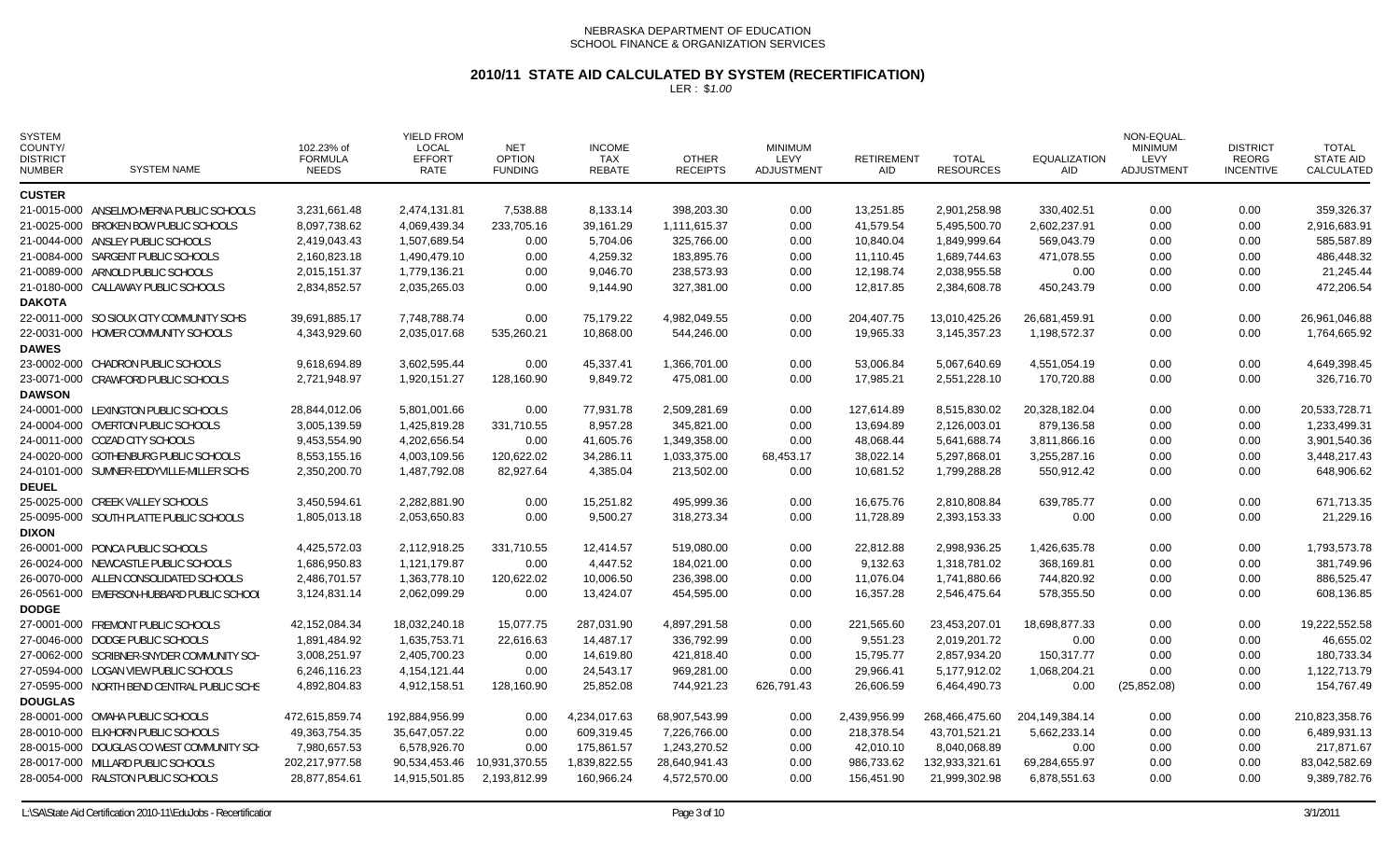### **2010/11 STATE AID CALCULATED BY SYSTEM (RECERTIFICATION)**

| <b>SYSTEM</b><br>COUNTY/<br><b>DISTRICT</b><br><b>NUMBER</b> | <b>SYSTEM NAME</b>                         | 102.23% of<br><b>FORMULA</b><br><b>NEEDS</b> | <b>YIELD FROM</b><br><b>LOCAL</b><br><b>EFFORT</b><br>RATE | <b>NET</b><br><b>OPTION</b><br><b>FUNDING</b> | <b>INCOME</b><br><b>TAX</b><br><b>REBATE</b> | <b>OTHER</b><br><b>RECEIPTS</b> | <b>MINIMUM</b><br>LEVY<br><b>ADJUSTMENT</b> | <b>RETIREMENT</b><br><b>AID</b> | <b>TOTAL</b><br><b>RESOURCES</b> | <b>EQUALIZATION</b><br>AID | <b>NON-EQUAL</b><br><b>MINIMUM</b><br>LEVY<br>ADJUSTMENT | <b>DISTRICT</b><br><b>REORG</b><br><b>INCENTIVE</b> | <b>TOTAL</b><br><b>STATE AID</b><br>CALCULATED |
|--------------------------------------------------------------|--------------------------------------------|----------------------------------------------|------------------------------------------------------------|-----------------------------------------------|----------------------------------------------|---------------------------------|---------------------------------------------|---------------------------------|----------------------------------|----------------------------|----------------------------------------------------------|-----------------------------------------------------|------------------------------------------------|
| <b>CUSTER</b>                                                |                                            |                                              |                                                            |                                               |                                              |                                 |                                             |                                 |                                  |                            |                                                          |                                                     |                                                |
|                                                              | 21-0015-000 ANSELMO-MERNA PUBLIC SCHOOLS   | 3,231,661.48                                 | 2,474,131.81                                               | 7,538.88                                      | 8,133.14                                     | 398.203.30                      | 0.00                                        | 13,251.85                       | 2,901,258.98                     | 330.402.51                 | 0.00                                                     | 0.00                                                | 359.326.37                                     |
|                                                              | 21-0025-000 BROKEN BOW PUBLIC SCHOOLS      | 8,097,738.62                                 | 4,069,439.34                                               | 233,705.16                                    | 39,161.29                                    | 1,111,615.37                    | 0.00                                        | 41,579.54                       | 5,495,500.70                     | 2,602,237.91               | 0.00                                                     | 0.00                                                | 2,916,683.91                                   |
|                                                              | 21-0044-000 ANSLEY PUBLIC SCHOOLS          | 2,419,043.43                                 | 1,507,689.54                                               | 0.00                                          | 5,704.06                                     | 325,766.00                      | 0.00                                        | 10,840.04                       | 1,849,999.64                     | 569,043.79                 | 0.00                                                     | 0.00                                                | 585,587.89                                     |
|                                                              | 21-0084-000 SARGENT PUBLIC SCHOOLS         | 2,160,823.18                                 | 1,490,479.10                                               | 0.00                                          | 4,259.32                                     | 183,895.76                      | 0.00                                        | 11,110.45                       | 1,689,744.63                     | 471,078.55                 | 0.00                                                     | 0.00                                                | 486,448.32                                     |
|                                                              | 21-0089-000 ARNOLD PUBLIC SCHOOLS          | 2,015,151.37                                 | 1,779,136.21                                               | 0.00                                          | 9,046.70                                     | 238,573.93                      | 0.00                                        | 12,198.74                       | 2,038,955.58                     | 0.00                       | 0.00                                                     | 0.00                                                | 21,245.44                                      |
|                                                              | 21-0180-000 CALLAWAY PUBLIC SCHOOLS        | 2,834,852.57                                 | 2,035,265.03                                               | 0.00                                          | 9,144.90                                     | 327,381.00                      | 0.00                                        | 12,817.85                       | 2,384,608.78                     | 450,243.79                 | 0.00                                                     | 0.00                                                | 472,206.54                                     |
| <b>DAKOTA</b>                                                |                                            |                                              |                                                            |                                               |                                              |                                 |                                             |                                 |                                  |                            |                                                          |                                                     |                                                |
|                                                              | 22-0011-000 SO SIOUX CITY COMMUNITY SCHS   | 39,691,885.17                                | 7,748,788.74                                               | 0.00                                          | 75,179.22                                    | 4,982,049.55                    | 0.00                                        | 204,407.75                      | 13,010,425.26                    | 26,681,459.91              | 0.00                                                     | 0.00                                                | 26,961,046.88                                  |
| <b>DAWES</b>                                                 | 22-0031-000 HOMER COMMUNITY SCHOOLS        | 4,343,929.60                                 | 2,035,017.68                                               | 535,260.21                                    | 10,868.00                                    | 544,246.00                      | 0.00                                        | 19,965.33                       | 3,145,357.23                     | 1,198,572.37               | 0.00                                                     | 0.00                                                | 1,764,665.92                                   |
|                                                              | 23-0002-000 CHADRON PUBLIC SCHOOLS         | 9,618,694.89                                 | 3,602,595.44                                               | 0.00                                          | 45,337.41                                    | 1,366,701.00                    | 0.00                                        | 53,006.84                       | 5,067,640.69                     | 4,551,054.19               | 0.00                                                     | 0.00                                                | 4,649,398.45                                   |
|                                                              | 23-0071-000 CRAWFORD PUBLIC SCHOOLS        | 2,721,948.97                                 | 1,920,151.27                                               | 128,160.90                                    | 9,849.72                                     | 475,081.00                      | 0.00                                        | 17,985.21                       | 2,551,228.10                     | 170,720.88                 | 0.00                                                     | 0.00                                                | 326,716.70                                     |
| <b>DAWSON</b>                                                |                                            |                                              |                                                            |                                               |                                              |                                 |                                             |                                 |                                  |                            |                                                          |                                                     |                                                |
|                                                              | 24-0001-000 LEXINGTON PUBLIC SCHOOLS       | 28,844,012.06                                | 5,801,001.66                                               | 0.00                                          | 77,931.78                                    | 2,509,281.69                    | 0.00                                        | 127,614.89                      | 8,515,830.02                     | 20,328,182.04              | 0.00                                                     | 0.00                                                | 20,533,728.71                                  |
|                                                              | 24-0004-000 OVERTON PUBLIC SCHOOLS         | 3,005,139.59                                 | 1,425,819.28                                               | 331,710.55                                    | 8,957.28                                     | 345,821.00                      | 0.00                                        | 13,694.89                       | 2,126,003.01                     | 879,136.58                 | 0.00                                                     | 0.00                                                | 1,233,499.31                                   |
|                                                              | 24-0011-000 COZAD CITY SCHOOLS             | 9,453,554.90                                 | 4,202,656.54                                               | 0.00                                          | 41,605.76                                    | 1,349,358.00                    | 0.00                                        | 48,068.44                       | 5,641,688.74                     | 3,811,866.16               | 0.00                                                     | 0.00                                                | 3,901,540.36                                   |
|                                                              | 24-0020-000 GOTHENBURG PUBLIC SCHOOLS      | 8,553,155.16                                 | 4,003,109.56                                               | 120,622.02                                    | 34,286.11                                    | 1,033,375.00                    | 68,453.17                                   | 38,022.14                       | 5,297,868.01                     | 3,255,287.16               | 0.00                                                     | 0.00                                                | 3,448,217.43                                   |
|                                                              | 24-0101-000 SUMNER-EDDYVILLE-MILLER SCHS   | 2,350,200.70                                 | 1,487,792.08                                               | 82,927.64                                     | 4,385.04                                     | 213,502.00                      | 0.00                                        | 10,681.52                       | 1,799,288.28                     | 550,912.42                 | 0.00                                                     | 0.00                                                | 648,906.62                                     |
| <b>DEUEL</b>                                                 |                                            |                                              |                                                            |                                               |                                              |                                 |                                             |                                 |                                  |                            |                                                          |                                                     |                                                |
|                                                              | 25-0025-000 CREEK VALLEY SCHOOLS           | 3,450,594.61                                 | 2,282,881.90                                               | 0.00                                          | 15,251.82                                    | 495,999.36                      | 0.00                                        | 16,675.76                       | 2,810,808.84                     | 639,785.77                 | 0.00                                                     | 0.00                                                | 671,713.35                                     |
|                                                              | 25-0095-000 SOUTH PLATTE PUBLIC SCHOOLS    | 1,805,013.18                                 | 2,053,650.83                                               | 0.00                                          | 9,500.27                                     | 318,273.34                      | 0.00                                        | 11,728.89                       | 2,393,153.33                     | 0.00                       | 0.00                                                     | 0.00                                                | 21,229.16                                      |
| <b>DIXON</b>                                                 |                                            |                                              |                                                            |                                               |                                              |                                 |                                             |                                 |                                  |                            |                                                          |                                                     |                                                |
|                                                              | 26-0001-000 PONCA PUBLIC SCHOOLS           | 4,425,572.03                                 | 2,112,918.25                                               | 331,710.55                                    | 12,414.57                                    | 519,080.00                      | 0.00                                        | 22,812.88                       | 2,998,936.25                     | 1,426,635.78               | 0.00                                                     | 0.00                                                | 1,793,573.78                                   |
|                                                              | 26-0024-000 NEWCASTLE PUBLIC SCHOOLS       | 1,686,950.83                                 | 1,121,179.87                                               | 0.00                                          | 4,447.52                                     | 184,021.00                      | 0.00                                        | 9,132.63                        | 1,318,781.02                     | 368,169.81                 | 0.00                                                     | 0.00                                                | 381,749.96                                     |
|                                                              | 26-0070-000 ALLEN CONSOLIDATED SCHOOLS     | 2,486,701.57                                 | 1,363,778.10                                               | 120,622.02                                    | 10,006.50                                    | 236,398.00                      | 0.00                                        | 11,076.04                       | 1,741,880.66                     | 744,820.92                 | 0.00                                                     | 0.00                                                | 886,525.47                                     |
|                                                              | 26-0561-000 EMERSON-HUBBARD PUBLIC SCHOOL  | 3,124,831.14                                 | 2,062,099.29                                               | 0.00                                          | 13,424.07                                    | 454,595.00                      | 0.00                                        | 16.357.28                       | 2,546,475.64                     | 578,355.50                 | 0.00                                                     | 0.00                                                | 608,136.85                                     |
| <b>DODGE</b>                                                 |                                            |                                              |                                                            |                                               |                                              |                                 |                                             |                                 |                                  |                            |                                                          |                                                     |                                                |
|                                                              | 27-0001-000 FREMONT PUBLIC SCHOOLS         | 42,152,084.34                                | 18,032,240.18                                              | 15,077.75                                     | 287,031.90                                   | 4,897,291.58                    | 0.00                                        | 221,565.60                      | 23,453,207.01                    | 18,698,877.33              | 0.00                                                     | 0.00                                                | 19,222,552.58                                  |
|                                                              | 27-0046-000 DODGE PUBLIC SCHOOLS           | 1,891,484.92                                 | 1,635,753.71                                               | 22,616.63                                     | 14,487.17                                    | 336,792.99                      | 0.00                                        | 9,551.23                        | 2,019,201.72                     | 0.00                       | 0.00                                                     | 0.00                                                | 46,655.02                                      |
|                                                              | 27-0062-000 SCRIBNER-SNYDER COMMUNITY SCH  | 3,008,251.97                                 | 2,405,700.23                                               | 0.00                                          | 14,619.80                                    | 421,818.40                      | 0.00                                        | 15,795.77                       | 2,857,934.20                     | 150,317.77                 | 0.00                                                     | 0.00                                                | 180,733.34                                     |
|                                                              | 27-0594-000 LOGAN VIEW PUBLIC SCHOOLS      | 6,246,116.23                                 | 4, 154, 121. 44                                            | 0.00                                          | 24,543.17                                    | 969,281.00                      | 0.00                                        | 29,966.41                       | 5,177,912.02                     | 1,068,204.21               | 0.00                                                     | 0.00                                                | 1,122,713.79                                   |
|                                                              | 27-0595-000 NORTH BEND CENTRAL PUBLIC SCHS | 4,892,804.83                                 | 4,912,158.51                                               | 128,160.90                                    | 25,852.08                                    | 744,921.23                      | 626,791.43                                  | 26,606.59                       | 6,464,490.73                     | 0.00                       | (25, 852.08)                                             | 0.00                                                | 154,767.49                                     |
| <b>DOUGLAS</b>                                               |                                            |                                              |                                                            |                                               |                                              |                                 |                                             |                                 |                                  |                            |                                                          |                                                     |                                                |
|                                                              | 28-0001-000 OMAHA PUBLIC SCHOOLS           | 472,615,859.74                               | 192,884,956.99                                             | 0.00                                          | 4,234,017.63                                 | 68,907,543.99                   | 0.00                                        | 2,439,956.99                    | 268,466,475.60                   | 204,149,384.14             | 0.00                                                     | 0.00                                                | 210,823,358.76                                 |
|                                                              | 28-0010-000 ELKHORN PUBLIC SCHOOLS         | 49,363,754.35                                | 35,647,057.22                                              | 0.00                                          | 609,319.45                                   | 7,226,766.00                    | 0.00                                        | 218,378.54                      | 43,701,521.21                    | 5,662,233.14               | 0.00                                                     | 0.00                                                | 6,489,931.13                                   |
|                                                              | 28-0015-000 DOUGLAS CO WEST COMMUNITY SCH  | 7,980,657.53                                 | 6,578,926.70                                               | 0.00                                          | 175,861.57                                   | 1,243,270.52                    | 0.00                                        | 42,010.10                       | 8,040,068.89                     | 0.00                       | 0.00                                                     | 0.00                                                | 217,871.67                                     |
|                                                              | 28-0017-000 MILLARD PUBLIC SCHOOLS         | 202,217,977.58                               | 90,534,453.46                                              | 10,931,370.55                                 | 1,839,822.55                                 | 28,640,941.43                   | 0.00                                        | 986,733.62                      | 132,933,321.61                   | 69,284,655.97              | 0.00                                                     | 0.00                                                | 83,042,582.69                                  |
|                                                              | 28-0054-000 RALSTON PUBLIC SCHOOLS         | 28,877,854.61                                | 14,915,501.85                                              | 2,193,812.99                                  | 160,966.24                                   | 4,572,570.00                    | 0.00                                        | 156,451.90                      | 21,999,302.98                    | 6,878,551.63               | 0.00                                                     | 0.00                                                | 9,389,782.76                                   |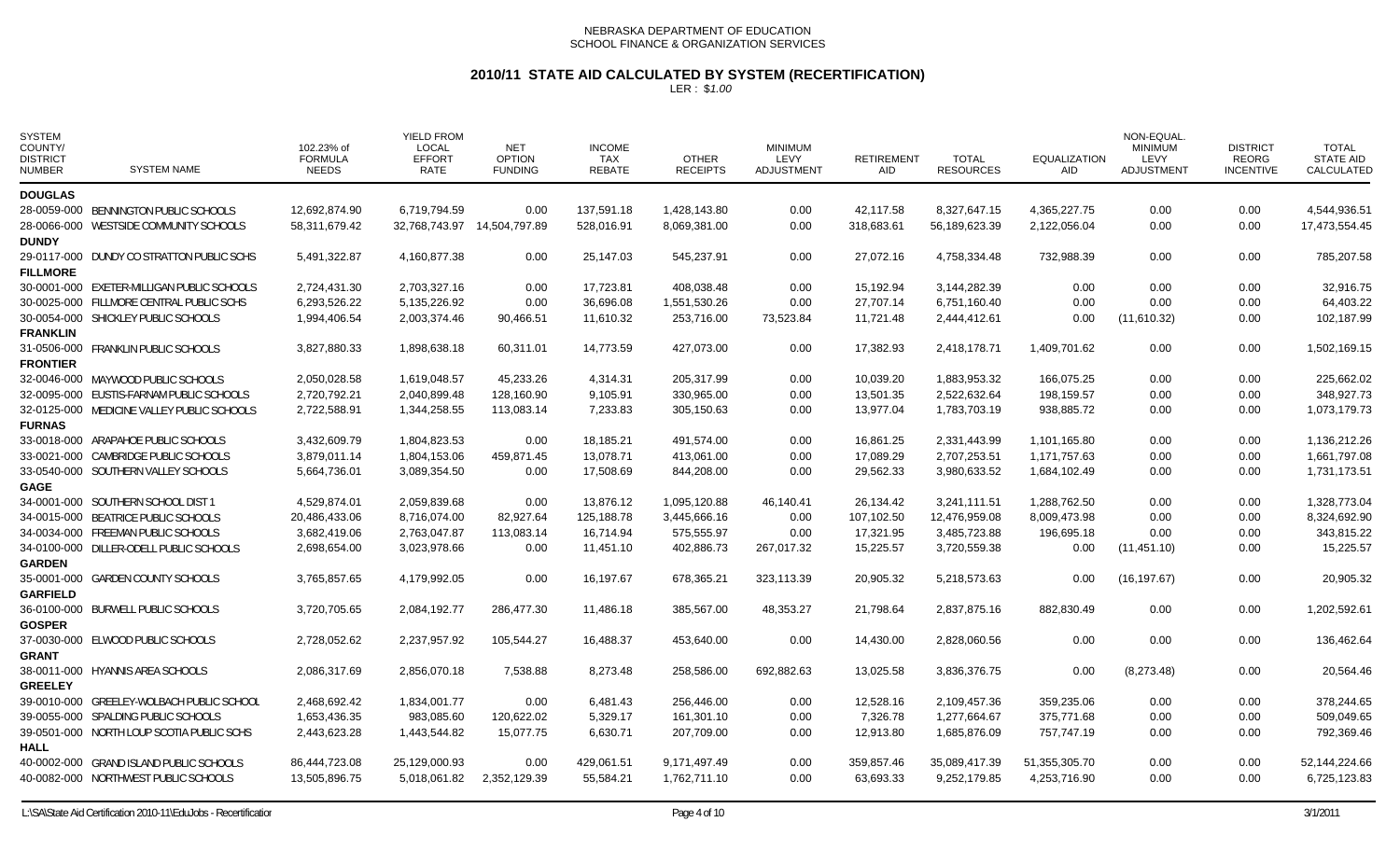# **2010/11 STATE AID CALCULATED BY SYSTEM (RECERTIFICATION)**

| <b>SYSTEM</b><br>COUNTY/<br><b>DISTRICT</b><br><b>NUMBER</b> | <b>SYSTEM NAME</b>                         | 102.23% of<br><b>FORMULA</b><br><b>NEEDS</b> | <b>YIELD FROM</b><br><b>LOCAL</b><br><b>EFFORT</b><br><b>RATE</b> | <b>NET</b><br><b>OPTION</b><br><b>FUNDING</b> | <b>INCOME</b><br>TAX<br><b>REBATE</b> | <b>OTHER</b><br><b>RECEIPTS</b> | <b>MINIMUM</b><br>LEVY<br><b>ADJUSTMENT</b> | <b>RETIREMENT</b><br><b>AID</b> | <b>TOTAL</b><br><b>RESOURCES</b> | <b>EQUALIZATION</b><br><b>AID</b> | NON-EQUAL<br><b>MINIMUM</b><br><b>LEVY</b><br><b>ADJUSTMENT</b> | <b>DISTRICT</b><br><b>REORG</b><br><b>INCENTIVE</b> | <b>TOTAL</b><br><b>STATE AID</b><br>CALCULATED |
|--------------------------------------------------------------|--------------------------------------------|----------------------------------------------|-------------------------------------------------------------------|-----------------------------------------------|---------------------------------------|---------------------------------|---------------------------------------------|---------------------------------|----------------------------------|-----------------------------------|-----------------------------------------------------------------|-----------------------------------------------------|------------------------------------------------|
| <b>DOUGLAS</b>                                               |                                            |                                              |                                                                   |                                               |                                       |                                 |                                             |                                 |                                  |                                   |                                                                 |                                                     |                                                |
|                                                              | 28-0059-000 BENNINGTON PUBLIC SCHOOLS      | 12,692,874.90                                | 6.719.794.59                                                      | 0.00                                          | 137,591.18                            | 1,428,143.80                    | 0.00                                        | 42.117.58                       | 8.327.647.15                     | 4,365,227.75                      | 0.00                                                            | 0.00                                                | 4.544.936.51                                   |
|                                                              | 28-0066-000 WESTSIDE COMMUNITY SCHOOLS     | 58,311,679.42                                |                                                                   | 32,768,743.97 14,504,797.89                   | 528,016.91                            | 8,069,381.00                    | 0.00                                        | 318,683.61                      | 56,189,623.39                    | 2,122,056.04                      | 0.00                                                            | 0.00                                                | 17,473,554.45                                  |
| <b>DUNDY</b>                                                 |                                            |                                              |                                                                   |                                               |                                       |                                 |                                             |                                 |                                  |                                   |                                                                 |                                                     |                                                |
|                                                              | 29-0117-000 DUNDY CO STRATTON PUBLIC SCHS  | 5,491,322.87                                 | 4,160,877.38                                                      | 0.00                                          | 25,147.03                             | 545,237.91                      | 0.00                                        | 27,072.16                       | 4,758,334.48                     | 732,988.39                        | 0.00                                                            | 0.00                                                | 785,207.58                                     |
| <b>FILLMORE</b>                                              |                                            |                                              |                                                                   |                                               |                                       |                                 |                                             |                                 |                                  |                                   |                                                                 |                                                     |                                                |
|                                                              | 30-0001-000 EXETER-MILLIGAN PUBLIC SCHOOLS | 2,724,431.30                                 | 2,703,327.16                                                      | 0.00                                          | 17,723.81                             | 408,038.48                      | 0.00                                        | 15,192.94                       | 3,144,282.39                     | 0.00                              | 0.00                                                            | 0.00                                                | 32,916.75                                      |
|                                                              | 30-0025-000 FILLMORE CENTRAL PUBLIC SCHS   | 6,293,526.22                                 | 5,135,226.92                                                      | 0.00                                          | 36,696.08                             | 1,551,530.26                    | 0.00                                        | 27,707.14                       | 6,751,160.40                     | 0.00                              | 0.00                                                            | 0.00                                                | 64,403.22                                      |
|                                                              | 30-0054-000 SHICKLEY PUBLIC SCHOOLS        | 1,994,406.54                                 | 2,003,374.46                                                      | 90,466.51                                     | 11,610.32                             | 253,716.00                      | 73,523.84                                   | 11,721.48                       | 2,444,412.61                     | 0.00                              | (11,610.32)                                                     | 0.00                                                | 102,187.99                                     |
| <b>FRANKLIN</b>                                              |                                            |                                              |                                                                   |                                               |                                       |                                 |                                             |                                 |                                  |                                   |                                                                 |                                                     |                                                |
|                                                              | 31-0506-000 FRANKLIN PUBLIC SCHOOLS        | 3,827,880.33                                 | 1,898,638.18                                                      | 60.311.01                                     | 14,773.59                             | 427.073.00                      | 0.00                                        | 17,382.93                       | 2.418.178.71                     | 1,409,701.62                      | 0.00                                                            | 0.00                                                | 1,502,169.15                                   |
| <b>FRONTIER</b>                                              |                                            |                                              |                                                                   |                                               |                                       |                                 |                                             |                                 |                                  |                                   |                                                                 |                                                     |                                                |
|                                                              | 32-0046-000 MAYWOOD PUBLIC SCHOOLS         | 2,050,028.58                                 | 1,619,048.57                                                      | 45,233.26                                     | 4,314.31                              | 205,317.99                      | 0.00                                        | 10,039.20                       | 1,883,953.32                     | 166,075.25                        | 0.00                                                            | 0.00                                                | 225,662.02                                     |
|                                                              | 32-0095-000 EUSTIS-FARNAM PUBLIC SCHOOLS   | 2,720,792.21                                 | 2,040,899.48                                                      | 128,160.90                                    | 9,105.91                              | 330,965.00                      | 0.00                                        | 13,501.35                       | 2,522,632.64                     | 198,159.57                        | 0.00                                                            | 0.00                                                | 348,927.73                                     |
|                                                              | 32-0125-000 MEDICINE VALLEY PUBLIC SCHOOLS | 2,722,588.91                                 | 1,344,258.55                                                      | 113,083.14                                    | 7,233.83                              | 305,150.63                      | 0.00                                        | 13,977.04                       | 1,783,703.19                     | 938,885.72                        | 0.00                                                            | 0.00                                                | 1,073,179.73                                   |
| <b>FURNAS</b>                                                |                                            |                                              |                                                                   |                                               |                                       |                                 |                                             |                                 |                                  |                                   |                                                                 |                                                     |                                                |
|                                                              | 33-0018-000 ARAPAHOE PUBLIC SCHOOLS        | 3,432,609.79                                 | 1,804,823.53                                                      | 0.00                                          | 18,185.21                             | 491.574.00                      | 0.00                                        | 16,861.25                       | 2.331.443.99                     | 1,101,165.80                      | 0.00                                                            | 0.00                                                | 1,136,212.26                                   |
|                                                              | 33-0021-000 CAMBRIDGE PUBLIC SCHOOLS       | 3,879,011.14                                 | 1,804,153.06                                                      | 459,871.45                                    | 13,078.71                             | 413,061.00                      | 0.00                                        | 17,089.29                       | 2,707,253.51                     | 1,171,757.63                      | 0.00                                                            | 0.00                                                | 1,661,797.08                                   |
|                                                              | 33-0540-000 SOUTHERN VALLEY SCHOOLS        | 5,664,736.01                                 | 3,089,354.50                                                      | 0.00                                          | 17,508.69                             | 844,208.00                      | 0.00                                        | 29,562.33                       | 3,980,633.52                     | 1,684,102.49                      | 0.00                                                            | 0.00                                                | 1,731,173.51                                   |
| <b>GAGE</b>                                                  |                                            |                                              |                                                                   |                                               |                                       |                                 |                                             |                                 |                                  |                                   |                                                                 |                                                     |                                                |
|                                                              | 34-0001-000 SOUTHERN SCHOOL DIST 1         | 4,529,874.01                                 | 2,059,839.68                                                      | 0.00                                          | 13,876.12                             | 1,095,120.88                    | 46,140.41                                   | 26,134.42                       | 3,241,111.51                     | 1,288,762.50                      | 0.00                                                            | 0.00                                                | 1,328,773.04                                   |
|                                                              | 34-0015-000 BEATRICE PUBLIC SCHOOLS        | 20,486,433.06                                | 8,716,074.00                                                      | 82,927.64                                     | 125,188.78                            | 3,445,666.16                    | 0.00                                        | 107,102.50                      | 12,476,959.08                    | 8,009,473.98                      | 0.00                                                            | 0.00                                                | 8,324,692.90                                   |
|                                                              | 34-0034-000 FREEMAN PUBLIC SCHOOLS         | 3,682,419.06                                 | 2,763,047.87                                                      | 113,083.14                                    | 16.714.94                             | 575,555.97                      | 0.00                                        | 17,321.95                       | 3,485,723.88                     | 196,695.18                        | 0.00                                                            | 0.00                                                | 343,815.22                                     |
|                                                              | 34-0100-000 DILLER-ODELL PUBLIC SCHOOLS    | 2,698,654.00                                 | 3,023,978.66                                                      | 0.00                                          | 11,451.10                             | 402,886.73                      | 267,017.32                                  | 15,225.57                       | 3,720,559.38                     | 0.00                              | (11, 451.10)                                                    | 0.00                                                | 15,225.57                                      |
| <b>GARDEN</b>                                                |                                            |                                              |                                                                   |                                               |                                       |                                 |                                             |                                 |                                  |                                   |                                                                 |                                                     |                                                |
|                                                              | 35-0001-000 GARDEN COUNTY SCHOOLS          | 3,765,857.65                                 | 4,179,992.05                                                      | 0.00                                          | 16,197.67                             | 678,365.21                      | 323,113.39                                  | 20,905.32                       | 5,218,573.63                     | 0.00                              | (16, 197.67)                                                    | 0.00                                                | 20,905.32                                      |
| <b>GARFIELD</b>                                              |                                            |                                              |                                                                   |                                               |                                       |                                 |                                             |                                 |                                  |                                   |                                                                 |                                                     |                                                |
|                                                              | 36-0100-000 BURWELL PUBLIC SCHOOLS         | 3,720,705.65                                 | 2,084,192.77                                                      | 286,477.30                                    | 11,486.18                             | 385,567.00                      | 48,353.27                                   | 21,798.64                       | 2,837,875.16                     | 882,830.49                        | 0.00                                                            | 0.00                                                | 1,202,592.61                                   |
| <b>GOSPER</b>                                                |                                            |                                              |                                                                   |                                               |                                       |                                 |                                             |                                 |                                  |                                   |                                                                 |                                                     |                                                |
|                                                              | 37-0030-000 ELWOOD PUBLIC SCHOOLS          | 2,728,052.62                                 | 2,237,957.92                                                      | 105,544.27                                    | 16,488.37                             | 453,640.00                      | 0.00                                        | 14,430.00                       | 2,828,060.56                     | 0.00                              | 0.00                                                            | 0.00                                                | 136,462.64                                     |
| <b>GRANT</b>                                                 |                                            |                                              |                                                                   |                                               |                                       |                                 |                                             |                                 |                                  |                                   |                                                                 |                                                     |                                                |
|                                                              | 38-0011-000 HYANNIS AREA SCHOOLS           | 2,086,317.69                                 | 2,856,070.18                                                      | 7,538.88                                      | 8,273.48                              | 258,586.00                      | 692,882.63                                  | 13,025.58                       | 3,836,376.75                     | 0.00                              | (8,273.48)                                                      | 0.00                                                | 20,564.46                                      |
| <b>GREELEY</b>                                               |                                            |                                              |                                                                   |                                               |                                       |                                 |                                             |                                 |                                  |                                   |                                                                 |                                                     |                                                |
|                                                              | 39-0010-000 GREELEY-WOLBACH PUBLIC SCHOOL  | 2,468,692.42                                 | 1,834,001.77                                                      | 0.00                                          | 6.481.43                              | 256.446.00                      | 0.00                                        | 12,528.16                       | 2.109.457.36                     | 359,235.06                        | 0.00                                                            | 0.00                                                | 378,244.65                                     |
|                                                              | 39-0055-000 SPALDING PUBLIC SCHOOLS        | 1,653,436.35                                 | 983,085.60                                                        | 120,622.02                                    | 5,329.17                              | 161,301.10                      | 0.00                                        | 7,326.78                        | 1,277,664.67                     | 375,771.68                        | 0.00                                                            | 0.00                                                | 509,049.65                                     |
|                                                              | 39-0501-000 NORTH LOUP SCOTIA PUBLIC SCHS  | 2,443,623.28                                 | 1,443,544.82                                                      | 15,077.75                                     | 6,630.71                              | 207,709.00                      | 0.00                                        | 12,913.80                       | 1,685,876.09                     | 757,747.19                        | 0.00                                                            | 0.00                                                | 792,369.46                                     |
| <b>HALL</b>                                                  |                                            |                                              |                                                                   |                                               |                                       |                                 |                                             |                                 |                                  |                                   |                                                                 |                                                     |                                                |
|                                                              | 40-0002-000 GRAND ISLAND PUBLIC SCHOOLS    | 86,444,723.08                                | 25,129,000.93                                                     | 0.00                                          | 429,061.51                            | 9,171,497.49                    | 0.00                                        | 359,857.46                      | 35,089,417.39                    | 51,355,305.70                     | 0.00                                                            | 0.00                                                | 52,144,224.66                                  |
|                                                              | 40-0082-000 NORTHWEST PUBLIC SCHOOLS       | 13,505,896.75                                | 5,018,061.82                                                      | 2,352,129.39                                  | 55,584.21                             | 1,762,711.10                    | 0.00                                        | 63,693.33                       | 9,252,179.85                     | 4,253,716.90                      | 0.00                                                            | 0.00                                                | 6,725,123.83                                   |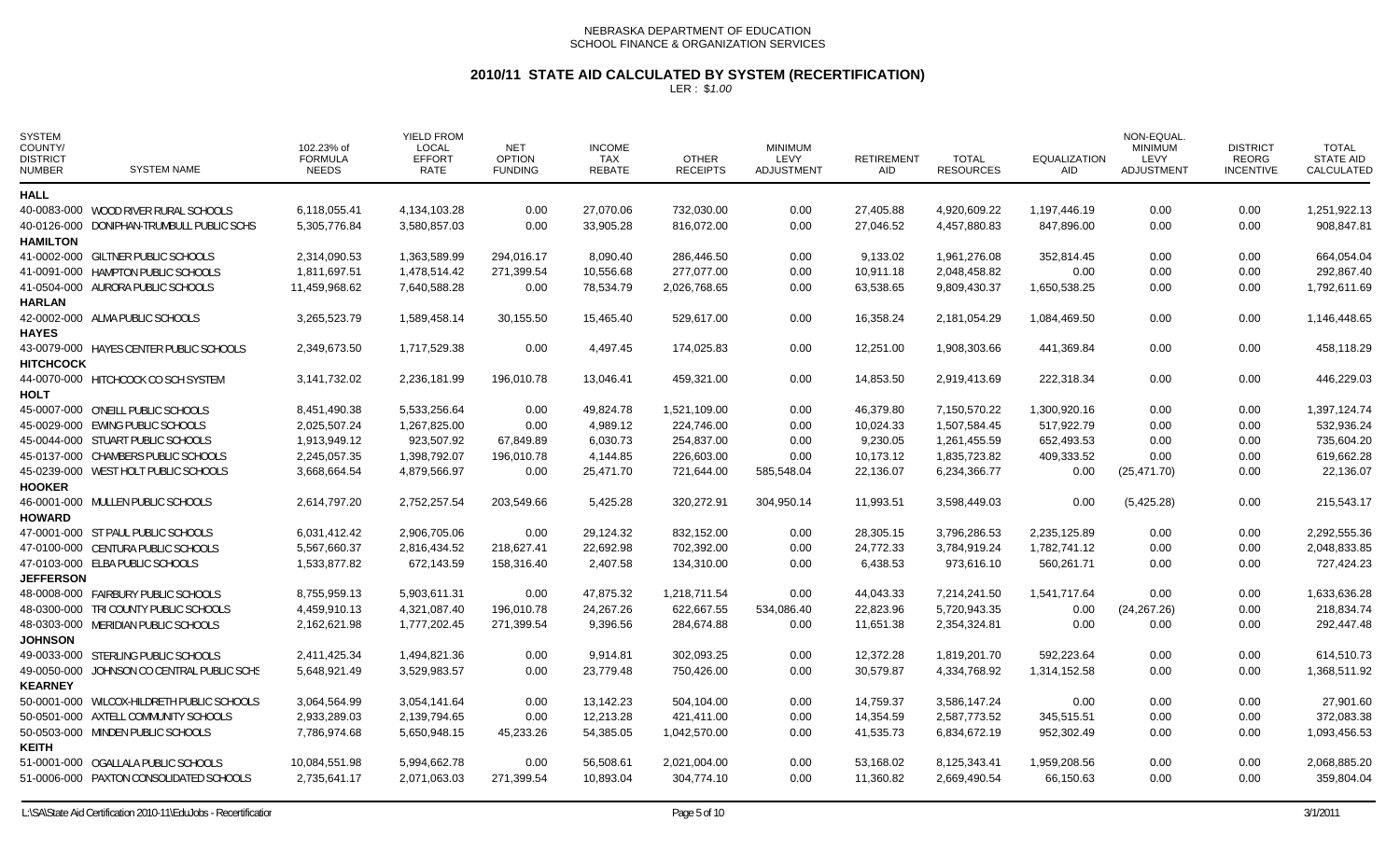# **2010/11 STATE AID CALCULATED BY SYSTEM (RECERTIFICATION)**

| <b>SYSTEM</b><br>COUNTY/<br><b>DISTRICT</b><br><b>NUMBER</b> | <b>SYSTEM NAME</b>                         | 102.23% of<br><b>FORMULA</b><br><b>NEEDS</b> | YIELD FROM<br>LOCAL<br><b>EFFORT</b><br>RATE | <b>NET</b><br><b>OPTION</b><br><b>FUNDING</b> | <b>INCOME</b><br>TAX<br><b>REBATE</b> | <b>OTHER</b><br><b>RECEIPTS</b> | <b>MINIMUM</b><br>LEVY<br>ADJUSTMENT | <b>RETIREMENT</b><br><b>AID</b> | <b>TOTAL</b><br><b>RESOURCES</b> | <b>EQUALIZATION</b><br><b>AID</b> | NON-EQUAL<br><b>MINIMUM</b><br>LEVY<br>ADJUSTMENT | <b>DISTRICT</b><br><b>REORG</b><br><b>INCENTIVE</b> | <b>TOTAL</b><br><b>STATE AID</b><br>CALCULATED |
|--------------------------------------------------------------|--------------------------------------------|----------------------------------------------|----------------------------------------------|-----------------------------------------------|---------------------------------------|---------------------------------|--------------------------------------|---------------------------------|----------------------------------|-----------------------------------|---------------------------------------------------|-----------------------------------------------------|------------------------------------------------|
| <b>HALL</b>                                                  |                                            |                                              |                                              |                                               |                                       |                                 |                                      |                                 |                                  |                                   |                                                   |                                                     |                                                |
|                                                              | 40-0083-000 WOOD RIVER RURAL SCHOOLS       | 6,118,055.41                                 | 4,134,103.28                                 | 0.00                                          | 27.070.06                             | 732,030.00                      | 0.00                                 | 27,405.88                       | 4,920,609.22                     | 1,197,446.19                      | 0.00                                              | 0.00                                                | 1,251,922.13                                   |
|                                                              | 40-0126-000 DONIPHAN-TRUMBULL PUBLIC SCHS  | 5,305,776.84                                 | 3,580,857.03                                 | 0.00                                          | 33,905.28                             | 816,072.00                      | 0.00                                 | 27,046.52                       | 4,457,880.83                     | 847,896.00                        | 0.00                                              | 0.00                                                | 908,847.81                                     |
| <b>HAMILTON</b>                                              |                                            |                                              |                                              |                                               |                                       |                                 |                                      |                                 |                                  |                                   |                                                   |                                                     |                                                |
|                                                              | 41-0002-000 GILTNER PUBLIC SCHOOLS         | 2,314,090.53                                 | 1,363,589.99                                 | 294,016.17                                    | 8,090.40                              | 286,446.50                      | 0.00                                 | 9,133.02                        | 1,961,276.08                     | 352,814.45                        | 0.00                                              | 0.00                                                | 664,054.04                                     |
|                                                              | 41-0091-000 HAMPTON PUBLIC SCHOOLS         | 1,811,697.51                                 | 1,478,514.42                                 | 271,399.54                                    | 10,556.68                             | 277,077.00                      | 0.00                                 | 10,911.18                       | 2,048,458.82                     | 0.00                              | 0.00                                              | 0.00                                                | 292,867.40                                     |
|                                                              | 41-0504-000 AURORA PUBLIC SCHOOLS          | 11,459,968.62                                | 7,640,588.28                                 | 0.00                                          | 78,534.79                             | 2,026,768.65                    | 0.00                                 | 63,538.65                       | 9,809,430.37                     | 1,650,538.25                      | 0.00                                              | 0.00                                                | 1,792,611.69                                   |
| <b>HARLAN</b>                                                |                                            |                                              |                                              |                                               |                                       |                                 |                                      |                                 |                                  |                                   |                                                   |                                                     |                                                |
|                                                              | 42-0002-000 ALMA PUBLIC SCHOOLS            | 3,265,523.79                                 | 1,589,458.14                                 | 30,155.50                                     | 15,465.40                             | 529,617.00                      | 0.00                                 | 16,358.24                       | 2,181,054.29                     | 1,084,469.50                      | 0.00                                              | 0.00                                                | 1,146,448.65                                   |
| <b>HAYES</b>                                                 |                                            |                                              |                                              |                                               |                                       |                                 |                                      |                                 |                                  |                                   |                                                   |                                                     |                                                |
|                                                              | 43-0079-000 HAYES CENTER PUBLIC SCHOOLS    | 2,349,673.50                                 | 1,717,529.38                                 | 0.00                                          | 4,497.45                              | 174,025.83                      | 0.00                                 | 12,251.00                       | 1,908,303.66                     | 441,369.84                        | 0.00                                              | 0.00                                                | 458,118.29                                     |
| <b>HITCHCOCK</b>                                             |                                            |                                              |                                              |                                               |                                       |                                 |                                      |                                 |                                  |                                   |                                                   |                                                     |                                                |
|                                                              | 44-0070-000 HITCHCOCK CO SCH SYSTEM        | 3,141,732.02                                 | 2,236,181.99                                 | 196,010.78                                    | 13,046.41                             | 459,321.00                      | 0.00                                 | 14,853.50                       | 2,919,413.69                     | 222,318.34                        | 0.00                                              | 0.00                                                | 446,229.03                                     |
| <b>HOLT</b>                                                  |                                            |                                              |                                              |                                               |                                       |                                 |                                      |                                 |                                  |                                   |                                                   |                                                     |                                                |
|                                                              | 45-0007-000 O'NEILL PUBLIC SCHOOLS         | 8,451,490.38                                 | 5,533,256.64                                 | 0.00                                          | 49,824.78                             | 1,521,109.00                    | 0.00                                 | 46,379.80                       | 7,150,570.22                     | 1,300,920.16                      | 0.00                                              | 0.00                                                | 1,397,124.74                                   |
|                                                              | 45-0029-000 EWING PUBLIC SCHOOLS           | 2,025,507.24                                 | 1,267,825.00                                 | 0.00                                          | 4,989.12                              | 224,746.00                      | 0.00                                 | 10,024.33                       | 1,507,584.45                     | 517,922.79                        | 0.00                                              | 0.00                                                | 532,936.24                                     |
|                                                              | 45-0044-000 STUART PUBLIC SCHOOLS          | 1,913,949.12                                 | 923,507.92                                   | 67,849.89                                     | 6,030.73                              | 254,837.00                      | 0.00                                 | 9,230.05                        | 1,261,455.59                     | 652,493.53                        | 0.00                                              | 0.00                                                | 735,604.20                                     |
|                                                              | 45-0137-000 CHAMBERS PUBLIC SCHOOLS        | 2,245,057.35                                 | 1,398,792.07                                 | 196,010.78                                    | 4,144.85                              | 226,603.00                      | 0.00                                 | 10,173.12                       | 1,835,723.82                     | 409,333.52                        | 0.00                                              | 0.00                                                | 619,662.28                                     |
|                                                              | 45-0239-000 WEST HOLT PUBLIC SCHOOLS       | 3,668,664.54                                 | 4,879,566.97                                 | 0.00                                          | 25,471.70                             | 721,644.00                      | 585,548.04                           | 22,136.07                       | 6,234,366.77                     | 0.00                              | (25, 471.70)                                      | 0.00                                                | 22,136.07                                      |
| <b>HOOKER</b>                                                |                                            |                                              |                                              |                                               |                                       |                                 |                                      |                                 |                                  |                                   |                                                   |                                                     |                                                |
|                                                              | 46-0001-000 MULLEN PUBLIC SCHOOLS          | 2,614,797.20                                 | 2,752,257.54                                 | 203,549.66                                    | 5,425.28                              | 320,272.91                      | 304,950.14                           | 11,993.51                       | 3,598,449.03                     | 0.00                              | (5,425.28)                                        | 0.00                                                | 215,543.17                                     |
| <b>HOWARD</b>                                                |                                            |                                              |                                              |                                               |                                       |                                 |                                      |                                 |                                  |                                   |                                                   |                                                     |                                                |
|                                                              | 47-0001-000 ST PAUL PUBLIC SCHOOLS         | 6,031,412.42                                 | 2,906,705.06                                 | 0.00                                          | 29,124.32                             | 832,152.00                      | 0.00                                 | 28,305.15                       | 3,796,286.53                     | 2,235,125.89                      | 0.00                                              | 0.00                                                | 2,292,555.36                                   |
|                                                              | 47-0100-000 CENTURA PUBLIC SCHOOLS         | 5,567,660.37                                 | 2,816,434.52                                 | 218,627.41                                    | 22,692.98                             | 702,392.00                      | 0.00                                 | 24,772.33                       | 3,784,919.24                     | 1,782,741.12                      | 0.00                                              | 0.00                                                | 2,048,833.85                                   |
|                                                              | 47-0103-000 ELBA PUBLIC SCHOOLS            | 1,533,877.82                                 | 672,143.59                                   | 158,316.40                                    | 2,407.58                              | 134,310.00                      | 0.00                                 | 6,438.53                        | 973,616.10                       | 560,261.71                        | 0.00                                              | 0.00                                                | 727,424.23                                     |
| <b>JEFFERSON</b>                                             |                                            |                                              |                                              |                                               |                                       |                                 |                                      |                                 |                                  |                                   |                                                   |                                                     |                                                |
|                                                              | 48-0008-000 FAIRBURY PUBLIC SCHOOLS        | 8,755,959.13                                 | 5,903,611.31                                 | 0.00                                          | 47,875.32                             | 1,218,711.54                    | 0.00                                 | 44,043.33                       | 7,214,241.50                     | 1,541,717.64                      | 0.00                                              | 0.00                                                | 1,633,636.28                                   |
|                                                              | 48-0300-000 TRI COUNTY PUBLIC SCHOOLS      | 4,459,910.13                                 | 4,321,087.40                                 | 196,010.78                                    | 24,267.26                             | 622,667.55                      | 534,086.40                           | 22,823.96                       | 5,720,943.35                     | 0.00                              | (24, 267.26)                                      | 0.00                                                | 218,834.74                                     |
|                                                              | 48-0303-000 MERIDIAN PUBLIC SCHOOLS        | 2,162,621.98                                 | 1,777,202.45                                 | 271,399.54                                    | 9,396.56                              | 284,674.88                      | 0.00                                 | 11,651.38                       | 2,354,324.81                     | 0.00                              | 0.00                                              | 0.00                                                | 292,447.48                                     |
| <b>JOHNSON</b>                                               |                                            |                                              |                                              |                                               |                                       |                                 |                                      |                                 |                                  |                                   |                                                   |                                                     |                                                |
|                                                              | 49-0033-000 STERLING PUBLIC SCHOOLS        | 2,411,425.34                                 | 1,494,821.36                                 | 0.00                                          | 9,914.81                              | 302,093.25                      | 0.00                                 | 12,372.28                       | 1,819,201.70                     | 592,223.64                        | 0.00                                              | 0.00                                                | 614,510.73                                     |
|                                                              | 49-0050-000 JOHNSON CO CENTRAL PUBLIC SCHS | 5,648,921.49                                 | 3,529,983.57                                 | 0.00                                          | 23,779.48                             | 750,426.00                      | 0.00                                 | 30,579.87                       | 4,334,768.92                     | 1,314,152.58                      | 0.00                                              | 0.00                                                | 1,368,511.92                                   |
| <b>KEARNEY</b>                                               |                                            |                                              |                                              |                                               |                                       |                                 |                                      |                                 |                                  |                                   |                                                   |                                                     |                                                |
|                                                              | 50-0001-000 WILCOX-HILDRETH PUBLIC SCHOOLS | 3,064,564.99                                 | 3,054,141.64                                 | 0.00                                          | 13,142.23                             | 504,104.00                      | 0.00                                 | 14,759.37                       | 3,586,147.24                     | 0.00                              | 0.00                                              | 0.00                                                | 27,901.60                                      |
|                                                              | 50-0501-000 AXTELL COMMUNITY SCHOOLS       | 2,933,289.03                                 | 2,139,794.65                                 | 0.00                                          | 12,213.28                             | 421,411.00                      | 0.00                                 | 14,354.59                       | 2,587,773.52                     | 345,515.51                        | 0.00                                              | 0.00                                                | 372,083.38                                     |
|                                                              | 50-0503-000 MINDEN PUBLIC SCHOOLS          | 7,786,974.68                                 | 5,650,948.15                                 | 45,233.26                                     | 54,385.05                             | 1,042,570.00                    | 0.00                                 | 41,535.73                       | 6,834,672.19                     | 952,302.49                        | 0.00                                              | 0.00                                                | 1,093,456.53                                   |
| <b>KEITH</b>                                                 |                                            |                                              |                                              |                                               |                                       |                                 |                                      |                                 |                                  |                                   |                                                   |                                                     |                                                |
|                                                              | 51-0001-000 OGALLALA PUBLIC SCHOOLS        | 10,084,551.98                                | 5,994,662.78                                 | 0.00                                          | 56,508.61                             | 2,021,004.00                    | 0.00                                 | 53,168.02                       | 8,125,343.41                     | 1,959,208.56                      | 0.00                                              | 0.00                                                | 2,068,885.20                                   |
|                                                              | 51-0006-000 PAXTON CONSOLIDATED SCHOOLS    | 2,735,641.17                                 | 2,071,063.03                                 | 271,399.54                                    | 10,893.04                             | 304,774.10                      | 0.00                                 | 11,360.82                       | 2,669,490.54                     | 66,150.63                         | 0.00                                              | 0.00                                                | 359,804.04                                     |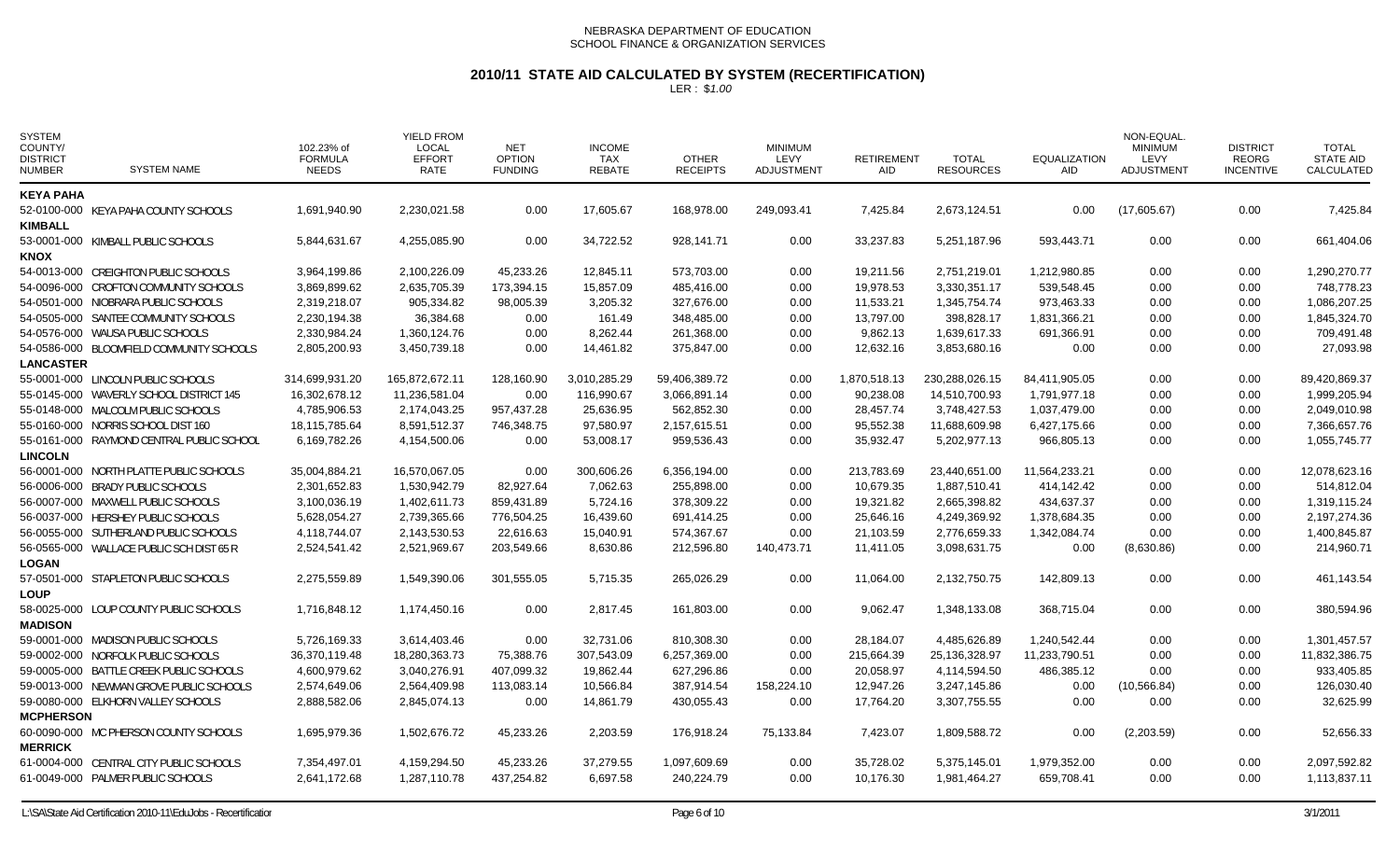# **2010/11 STATE AID CALCULATED BY SYSTEM (RECERTIFICATION)**

| <b>SYSTEM</b><br>COUNTY/<br><b>DISTRICT</b><br><b>NUMBER</b> | <b>SYSTEM NAME</b>                        | 102.23% of<br><b>FORMULA</b><br><b>NEEDS</b> | <b>YIELD FROM</b><br><b>LOCAL</b><br><b>EFFORT</b><br><b>RATE</b> | <b>NET</b><br><b>OPTION</b><br><b>FUNDING</b> | <b>INCOME</b><br>TAX<br><b>REBATE</b> | <b>OTHER</b><br><b>RECEIPTS</b> | <b>MINIMUM</b><br>LEVY<br><b>ADJUSTMENT</b> | <b>RETIREMENT</b><br><b>AID</b> | <b>TOTAL</b><br><b>RESOURCES</b> | <b>EQUALIZATION</b><br><b>AID</b> | NON-EQUAL<br><b>MINIMUM</b><br>LEVY<br><b>ADJUSTMENT</b> | <b>DISTRICT</b><br>REORG<br><b>INCENTIVE</b> | TOTAL<br><b>STATE AID</b><br>CALCULATED |
|--------------------------------------------------------------|-------------------------------------------|----------------------------------------------|-------------------------------------------------------------------|-----------------------------------------------|---------------------------------------|---------------------------------|---------------------------------------------|---------------------------------|----------------------------------|-----------------------------------|----------------------------------------------------------|----------------------------------------------|-----------------------------------------|
| <b>KEYA PAHA</b>                                             |                                           |                                              |                                                                   |                                               |                                       |                                 |                                             |                                 |                                  |                                   |                                                          |                                              |                                         |
| <b>KIMBALL</b>                                               | 52-0100-000 KEYA PAHA COUNTY SCHOOLS      | 1,691,940.90                                 | 2,230,021.58                                                      | 0.00                                          | 17,605.67                             | 168,978.00                      | 249,093.41                                  | 7,425.84                        | 2,673,124.51                     | 0.00                              | (17,605.67)                                              | 0.00                                         | 7,425.84                                |
| <b>KNOX</b>                                                  | 53-0001-000 KIMBALL PUBLIC SCHOOLS        | 5,844,631.67                                 | 4,255,085.90                                                      | 0.00                                          | 34,722.52                             | 928,141.71                      | 0.00                                        | 33,237.83                       | 5,251,187.96                     | 593,443.71                        | 0.00                                                     | 0.00                                         | 661,404.06                              |
|                                                              | 54-0013-000 CREIGHTON PUBLIC SCHOOLS      | 3,964,199.86                                 | 2,100,226.09                                                      | 45,233.26                                     | 12,845.11                             | 573,703.00                      | 0.00                                        | 19,211.56                       | 2,751,219.01                     | 1,212,980.85                      | 0.00                                                     | 0.00                                         | 1,290,270.77                            |
|                                                              | 54-0096-000 CROFTON COMMUNITY SCHOOLS     | 3.869.899.62                                 | 2,635,705.39                                                      | 173,394.15                                    | 15,857.09                             | 485,416.00                      | 0.00                                        | 19.978.53                       | 3,330,351.17                     | 539.548.45                        | 0.00                                                     | 0.00                                         | 748.778.23                              |
|                                                              | 54-0501-000 NIOBRARA PUBLIC SCHOOLS       | 2,319,218.07                                 | 905,334.82                                                        | 98,005.39                                     | 3,205.32                              | 327,676.00                      | 0.00                                        | 11,533.21                       | 1,345,754.74                     | 973,463.33                        | 0.00                                                     | 0.00                                         | 1,086,207.25                            |
|                                                              | 54-0505-000 SANTEE COMMUNITY SCHOOLS      | 2,230,194.38                                 | 36,384.68                                                         | 0.00                                          | 161.49                                | 348,485.00                      | 0.00                                        | 13,797.00                       | 398,828.17                       | 1,831,366.21                      | 0.00                                                     | 0.00                                         | 1,845,324.70                            |
|                                                              | 54-0576-000 WAUSA PUBLIC SCHOOLS          | 2,330,984.24                                 | 1,360,124.76                                                      | 0.00                                          | 8,262.44                              | 261,368.00                      | 0.00                                        | 9,862.13                        | 1,639,617.33                     | 691,366.91                        | 0.00                                                     | 0.00                                         | 709,491.48                              |
|                                                              | 54-0586-000 BLOOMFIELD COMMUNITY SCHOOLS  | 2,805,200.93                                 | 3,450,739.18                                                      | 0.00                                          | 14,461.82                             | 375,847.00                      | 0.00                                        | 12,632.16                       | 3,853,680.16                     | 0.00                              | 0.00                                                     | 0.00                                         | 27,093.98                               |
| <b>LANCASTER</b>                                             |                                           |                                              |                                                                   |                                               |                                       |                                 |                                             |                                 |                                  |                                   |                                                          |                                              |                                         |
|                                                              | 55-0001-000 LINCOLN PUBLIC SCHOOLS        | 314,699,931.20                               | 165,872,672.11                                                    | 128,160.90                                    | 3,010,285.29                          | 59,406,389.72                   | 0.00                                        | 1,870,518.13                    | 230,288,026.15                   | 84,411,905.05                     | 0.00                                                     | 0.00                                         | 89,420,869.37                           |
|                                                              | 55-0145-000 WAVERLY SCHOOL DISTRICT 145   | 16,302,678.12                                | 11,236,581.04                                                     | 0.00                                          | 116,990.67                            | 3,066,891.14                    | 0.00                                        | 90,238.08                       | 14,510,700.93                    | 1,791,977.18                      | 0.00                                                     | 0.00                                         | 1,999,205.94                            |
|                                                              | 55-0148-000 MALCOLM PUBLIC SCHOOLS        | 4,785,906.53                                 | 2,174,043.25                                                      | 957,437.28                                    | 25,636.95                             | 562,852.30                      | 0.00                                        | 28,457.74                       | 3,748,427.53                     | 1,037,479.00                      | 0.00                                                     | 0.00                                         | 2,049,010.98                            |
|                                                              | 55-0160-000 NORRIS SCHOOL DIST 160        | 18,115,785.64                                | 8,591,512.37                                                      | 746,348.75                                    | 97,580.97                             | 2,157,615.51                    | 0.00                                        | 95,552.38                       | 11,688,609.98                    | 6,427,175.66                      | 0.00                                                     | 0.00                                         | 7,366,657.76                            |
|                                                              | 55-0161-000 RAYMOND CENTRAL PUBLIC SCHOOL | 6,169,782.26                                 | 4,154,500.06                                                      | 0.00                                          | 53,008.17                             | 959,536.43                      | 0.00                                        | 35,932.47                       | 5,202,977.13                     | 966,805.13                        | 0.00                                                     | 0.00                                         | 1,055,745.77                            |
| <b>LINCOLN</b>                                               |                                           |                                              |                                                                   |                                               |                                       |                                 |                                             |                                 |                                  |                                   |                                                          |                                              |                                         |
|                                                              | 56-0001-000 NORTH PLATTE PUBLIC SCHOOLS   | 35,004,884.21                                | 16,570,067.05                                                     | 0.00                                          | 300,606.26                            | 6,356,194.00                    | 0.00                                        | 213,783.69                      | 23,440,651.00                    | 11,564,233.21                     | 0.00                                                     | 0.00                                         | 12,078,623.16                           |
|                                                              | 56-0006-000 BRADY PUBLIC SCHOOLS          | 2,301,652.83                                 | 1,530,942.79                                                      | 82,927.64                                     | 7,062.63                              | 255,898.00                      | 0.00                                        | 10,679.35                       | 1,887,510.41                     | 414,142.42                        | 0.00                                                     | 0.00                                         | 514,812.04                              |
|                                                              | 56-0007-000 MAXWELL PUBLIC SCHOOLS        | 3,100,036.19                                 | 1,402,611.73                                                      | 859,431.89                                    | 5,724.16                              | 378,309.22                      | 0.00                                        | 19,321.82                       | 2,665,398.82                     | 434,637.37                        | 0.00                                                     | 0.00                                         | 1,319,115.24                            |
|                                                              | 56-0037-000 HERSHEY PUBLIC SCHOOLS        | 5,628,054.27                                 | 2,739,365.66                                                      | 776,504.25                                    | 16,439.60                             | 691,414.25                      | 0.00                                        | 25,646.16                       | 4,249,369.92                     | 1,378,684.35                      | 0.00                                                     | 0.00                                         | 2,197,274.36                            |
|                                                              | 56-0055-000 SUTHERLAND PUBLIC SCHOOLS     | 4,118,744.07                                 | 2,143,530.53                                                      | 22,616.63                                     | 15,040.91                             | 574,367.67                      | 0.00                                        | 21,103.59                       | 2,776,659.33                     | 1,342,084.74                      | 0.00                                                     | 0.00                                         | 1,400,845.87                            |
|                                                              | 56-0565-000 WALLACE PUBLIC SCH DIST 65 R  | 2,524,541.42                                 | 2,521,969.67                                                      | 203,549.66                                    | 8,630.86                              | 212,596.80                      | 140,473.71                                  | 11,411.05                       | 3,098,631.75                     | 0.00                              | (8,630.86)                                               | 0.00                                         | 214,960.71                              |
| <b>LOGAN</b>                                                 |                                           |                                              |                                                                   |                                               |                                       |                                 |                                             |                                 |                                  |                                   |                                                          |                                              |                                         |
| <b>LOUP</b>                                                  | 57-0501-000 STAPLETON PUBLIC SCHOOLS      | 2,275,559.89                                 | 1,549,390.06                                                      | 301.555.05                                    | 5,715.35                              | 265.026.29                      | 0.00                                        | 11.064.00                       | 2,132,750.75                     | 142.809.13                        | 0.00                                                     | 0.00                                         | 461,143.54                              |
| <b>MADISON</b>                                               | 58-0025-000 LOUP COUNTY PUBLIC SCHOOLS    | 1,716,848.12                                 | 1,174,450.16                                                      | 0.00                                          | 2,817.45                              | 161,803.00                      | 0.00                                        | 9,062.47                        | 1,348,133.08                     | 368,715.04                        | 0.00                                                     | 0.00                                         | 380,594.96                              |
|                                                              | 59-0001-000 MADISON PUBLIC SCHOOLS        | 5,726,169.33                                 | 3,614,403.46                                                      | 0.00                                          | 32,731.06                             | 810,308.30                      | 0.00                                        | 28,184.07                       | 4,485,626.89                     | 1,240,542.44                      | 0.00                                                     | 0.00                                         | 1,301,457.57                            |
|                                                              | 59-0002-000 NORFOLK PUBLIC SCHOOLS        | 36,370,119.48                                | 18,280,363.73                                                     | 75,388.76                                     | 307,543.09                            | 6,257,369.00                    | 0.00                                        | 215,664.39                      | 25,136,328.97                    | 11,233,790.51                     | 0.00                                                     | 0.00                                         | 11,832,386.75                           |
|                                                              | 59-0005-000 BATTLE CREEK PUBLIC SCHOOLS   | 4,600,979.62                                 | 3,040,276.91                                                      | 407,099.32                                    | 19,862.44                             | 627,296.86                      | 0.00                                        | 20,058.97                       | 4,114,594.50                     | 486,385.12                        | 0.00                                                     | 0.00                                         | 933,405.85                              |
|                                                              | 59-0013-000 NEWMAN GROVE PUBLIC SCHOOLS   | 2,574,649.06                                 | 2,564,409.98                                                      | 113,083.14                                    | 10,566.84                             | 387,914.54                      | 158,224.10                                  | 12,947.26                       | 3,247,145.86                     | 0.00                              | (10, 566.84)                                             | 0.00                                         | 126,030.40                              |
|                                                              | 59-0080-000 ELKHORN VALLEY SCHOOLS        | 2,888,582.06                                 | 2,845,074.13                                                      | 0.00                                          | 14,861.79                             | 430,055.43                      | 0.00                                        | 17,764.20                       | 3,307,755.55                     | 0.00                              | 0.00                                                     | 0.00                                         | 32,625.99                               |
| <b>MCPHERSON</b>                                             |                                           |                                              |                                                                   |                                               |                                       |                                 |                                             |                                 |                                  |                                   |                                                          |                                              |                                         |
| <b>MERRICK</b>                                               | 60-0090-000 MC PHERSON COUNTY SCHOOLS     | 1,695,979.36                                 | 1,502,676.72                                                      | 45,233.26                                     | 2,203.59                              | 176,918.24                      | 75,133.84                                   | 7,423.07                        | 1,809,588.72                     | 0.00                              | (2,203.59)                                               | 0.00                                         | 52,656.33                               |
|                                                              | 61-0004-000 CENTRAL CITY PUBLIC SCHOOLS   | 7,354,497.01                                 | 4,159,294.50                                                      | 45,233.26                                     | 37,279.55                             | 1,097,609.69                    | 0.00                                        | 35,728.02                       | 5,375,145.01                     | 1,979,352.00                      | 0.00                                                     | 0.00                                         | 2,097,592.82                            |
|                                                              | 61-0049-000 PALMER PUBLIC SCHOOLS         | 2,641,172.68                                 | 1,287,110.78                                                      | 437,254.82                                    | 6,697.58                              | 240,224.79                      | 0.00                                        | 10.176.30                       | 1,981,464.27                     | 659,708.41                        | 0.00                                                     | 0.00                                         | 1,113,837.11                            |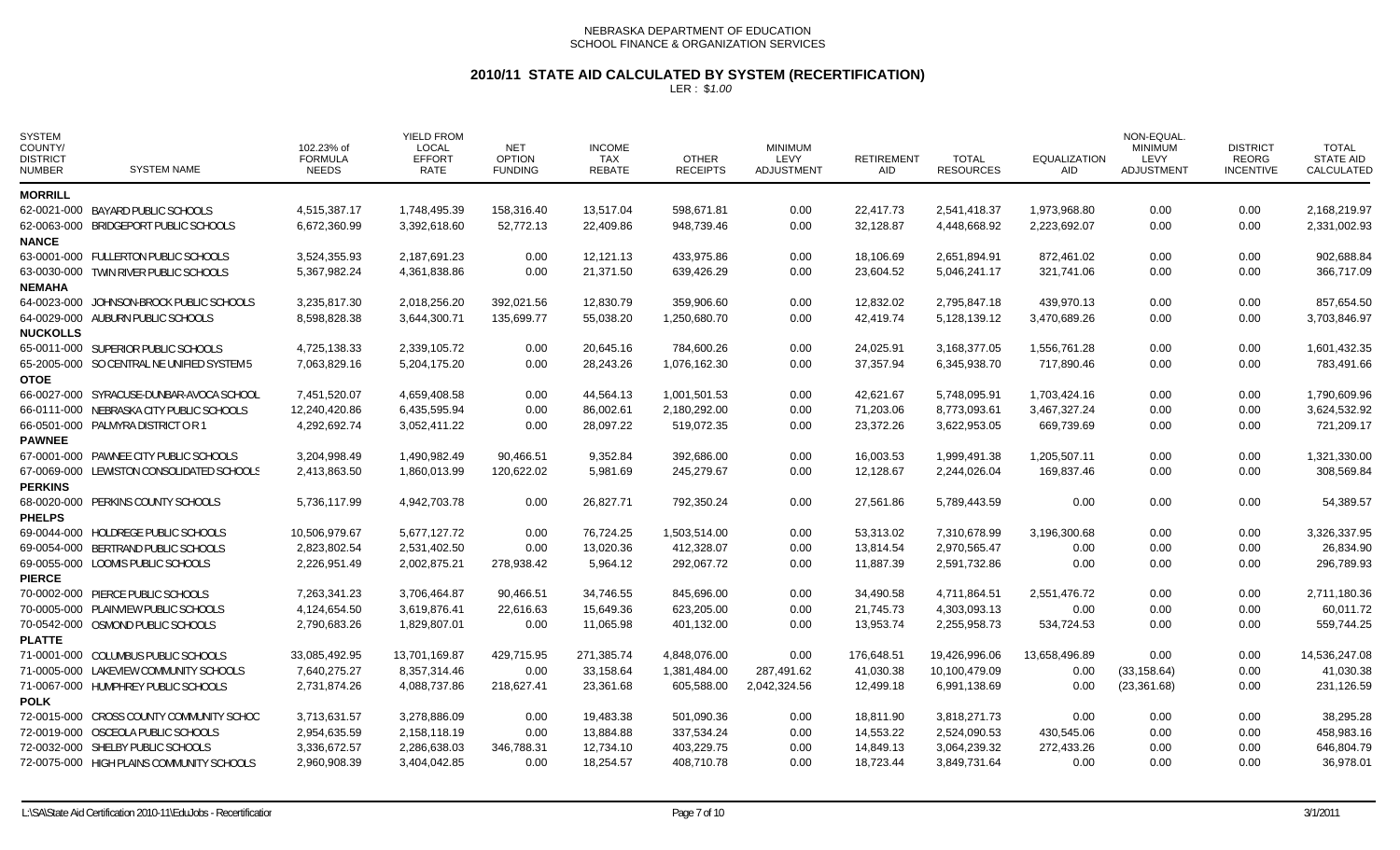# **2010/11 STATE AID CALCULATED BY SYSTEM (RECERTIFICATION)**

| <b>SYSTEM</b><br>COUNTY/<br><b>DISTRICT</b><br><b>NUMBER</b> | <b>SYSTEM NAME</b>                         | 102.23% of<br><b>FORMULA</b><br><b>NEEDS</b> | <b>YIELD FROM</b><br><b>LOCAL</b><br><b>EFFORT</b><br>RATE | <b>NET</b><br><b>OPTION</b><br><b>FUNDING</b> | <b>INCOME</b><br><b>TAX</b><br><b>REBATE</b> | <b>OTHER</b><br><b>RECEIPTS</b> | <b>MINIMUM</b><br>LEVY<br><b>ADJUSTMENT</b> | <b>RETIREMENT</b><br><b>AID</b> | <b>TOTAL</b><br><b>RESOURCES</b> | <b>EQUALIZATION</b><br>AID. | NON-EQUAL<br><b>MINIMUM</b><br>LEVY<br>ADJUSTMENT | <b>DISTRICT</b><br><b>REORG</b><br><b>INCENTIVE</b> | <b>TOTAL</b><br><b>STATE AID</b><br>CALCULATED |
|--------------------------------------------------------------|--------------------------------------------|----------------------------------------------|------------------------------------------------------------|-----------------------------------------------|----------------------------------------------|---------------------------------|---------------------------------------------|---------------------------------|----------------------------------|-----------------------------|---------------------------------------------------|-----------------------------------------------------|------------------------------------------------|
| <b>MORRILL</b>                                               |                                            |                                              |                                                            |                                               |                                              |                                 |                                             |                                 |                                  |                             |                                                   |                                                     |                                                |
|                                                              | 62-0021-000 BAYARD PUBLIC SCHOOLS          | 4,515,387.17                                 | 1,748,495.39                                               | 158,316.40                                    | 13,517.04                                    | 598,671.81                      | 0.00                                        | 22,417.73                       | 2,541,418.37                     | 1,973,968.80                | 0.00                                              | 0.00                                                | 2,168,219.97                                   |
|                                                              | 62-0063-000 BRIDGEPORT PUBLIC SCHOOLS      | 6,672,360.99                                 | 3,392,618.60                                               | 52,772.13                                     | 22,409.86                                    | 948,739.46                      | 0.00                                        | 32,128.87                       | 4,448,668.92                     | 2,223,692.07                | 0.00                                              | 0.00                                                | 2,331,002.93                                   |
| <b>NANCE</b>                                                 |                                            |                                              |                                                            |                                               |                                              |                                 | 0.00                                        |                                 |                                  |                             | 0.00                                              |                                                     | 902,688.84                                     |
|                                                              | 63-0001-000 FULLERTON PUBLIC SCHOOLS       | 3,524,355.93                                 | 2,187,691.23<br>4.361.838.86                               | 0.00<br>0.00                                  | 12,121.13<br>21.371.50                       | 433,975.86                      |                                             | 18,106.69                       | 2,651,894.91<br>5.046.241.17     | 872,461.02                  |                                                   | 0.00                                                | 366.717.09                                     |
| <b>NEMAHA</b>                                                | 63-0030-000 TWIN RIVER PUBLIC SCHOOLS      | 5,367,982.24                                 |                                                            |                                               |                                              | 639,426.29                      | 0.00                                        | 23,604.52                       |                                  | 321.741.06                  | 0.00                                              | 0.00                                                |                                                |
|                                                              | 64-0023-000 JOHNSON-BROCK PUBLIC SCHOOLS   | 3,235,817.30                                 | 2,018,256.20                                               | 392,021.56                                    | 12,830.79                                    | 359,906.60                      | 0.00                                        | 12,832.02                       | 2,795,847.18                     | 439,970.13                  | 0.00                                              | 0.00                                                | 857,654.50                                     |
|                                                              | 64-0029-000 AUBURN PUBLIC SCHOOLS          | 8,598,828.38                                 | 3,644,300.71                                               | 135,699.77                                    | 55,038.20                                    | 1,250,680.70                    | 0.00                                        | 42,419.74                       | 5,128,139.12                     | 3,470,689.26                | 0.00                                              | 0.00                                                | 3,703,846.97                                   |
| <b>NUCKOLLS</b>                                              |                                            |                                              |                                                            |                                               |                                              |                                 |                                             |                                 |                                  |                             |                                                   |                                                     |                                                |
|                                                              | 65-0011-000 SUPERIOR PUBLIC SCHOOLS        | 4,725,138.33                                 | 2,339,105.72                                               | 0.00                                          | 20,645.16                                    | 784,600.26                      | 0.00                                        | 24,025.91                       | 3,168,377.05                     | 1,556,761.28                | 0.00                                              | 0.00                                                | 1,601,432.35                                   |
| <b>OTOE</b>                                                  | 65-2005-000 SO CENTRAL NE UNIFIED SYSTEM 5 | 7,063,829.16                                 | 5,204,175.20                                               | 0.00                                          | 28,243.26                                    | 1,076,162.30                    | 0.00                                        | 37,357.94                       | 6,345,938.70                     | 717,890.46                  | 0.00                                              | 0.00                                                | 783,491.66                                     |
|                                                              | 66-0027-000 SYRACUSE-DUNBAR-AVOCA SCHOOL   | 7,451,520.07                                 | 4,659,408.58                                               | 0.00                                          | 44,564.13                                    | 1,001,501.53                    | 0.00                                        | 42,621.67                       | 5,748,095.91                     | 1,703,424.16                | 0.00                                              | 0.00                                                | 1,790,609.96                                   |
|                                                              | 66-0111-000 NEBRASKA CITY PUBLIC SCHOOLS   | 12,240,420.86                                | 6,435,595.94                                               | 0.00                                          | 86,002.61                                    | 2,180,292.00                    | 0.00                                        | 71,203.06                       | 8,773,093.61                     | 3,467,327.24                | 0.00                                              | 0.00                                                | 3,624,532.92                                   |
|                                                              | 66-0501-000 PALMYRA DISTRICT OR 1          | 4,292,692.74                                 | 3,052,411.22                                               | 0.00                                          | 28,097.22                                    | 519,072.35                      | 0.00                                        | 23,372.26                       | 3,622,953.05                     | 669,739.69                  | 0.00                                              | 0.00                                                | 721,209.17                                     |
| <b>PAWNEE</b>                                                |                                            |                                              |                                                            |                                               |                                              |                                 |                                             |                                 |                                  |                             |                                                   |                                                     |                                                |
|                                                              | 67-0001-000 PAWNEE CITY PUBLIC SCHOOLS     | 3,204,998.49                                 | 1,490,982.49                                               | 90,466.51                                     | 9,352.84                                     | 392,686.00                      | 0.00                                        | 16,003.53                       | 1,999,491.38                     | 1,205,507.11                | 0.00                                              | 0.00                                                | 1,321,330.00                                   |
|                                                              | 67-0069-000 LEWISTON CONSOLIDATED SCHOOLS  | 2,413,863.50                                 | 1,860,013.99                                               | 120,622.02                                    | 5,981.69                                     | 245,279.67                      | 0.00                                        | 12,128.67                       | 2,244,026.04                     | 169,837.46                  | 0.00                                              | 0.00                                                | 308,569.84                                     |
| <b>PERKINS</b>                                               |                                            |                                              |                                                            |                                               |                                              |                                 |                                             |                                 |                                  |                             |                                                   |                                                     |                                                |
|                                                              | 68-0020-000 PERKINS COUNTY SCHOOLS         | 5.736.117.99                                 | 4,942,703.78                                               | 0.00                                          | 26,827.71                                    | 792,350.24                      | 0.00                                        | 27,561.86                       | 5,789,443.59                     | 0.00                        | 0.00                                              | 0.00                                                | 54,389.57                                      |
| <b>PHELPS</b>                                                |                                            |                                              |                                                            |                                               |                                              |                                 |                                             |                                 |                                  |                             |                                                   |                                                     |                                                |
|                                                              | 69-0044-000 HOLDREGE PUBLIC SCHOOLS        | 10,506,979.67                                | 5,677,127.72                                               | 0.00                                          | 76,724.25                                    | 1,503,514.00                    | 0.00                                        | 53,313.02                       | 7,310,678.99                     | 3,196,300.68                | 0.00                                              | 0.00                                                | 3,326,337.95                                   |
|                                                              | 69-0054-000 BERTRAND PUBLIC SCHOOLS        | 2,823,802.54                                 | 2,531,402.50                                               | 0.00                                          | 13,020.36                                    | 412,328.07                      | 0.00                                        | 13,814.54                       | 2,970,565.47                     | 0.00                        | 0.00                                              | 0.00                                                | 26,834.90                                      |
|                                                              | 69-0055-000 LOOMIS PUBLIC SCHOOLS          | 2,226,951.49                                 | 2,002,875.21                                               | 278,938.42                                    | 5,964.12                                     | 292,067.72                      | 0.00                                        | 11,887.39                       | 2,591,732.86                     | 0.00                        | 0.00                                              | 0.00                                                | 296,789.93                                     |
| <b>PIERCE</b>                                                |                                            |                                              |                                                            |                                               |                                              |                                 |                                             |                                 |                                  |                             |                                                   |                                                     |                                                |
|                                                              | 70-0002-000 PIERCE PUBLIC SCHOOLS          | 7,263,341.23                                 | 3,706,464.87                                               | 90,466.51                                     | 34,746.55                                    | 845,696.00                      | 0.00                                        | 34,490.58                       | 4,711,864.51                     | 2,551,476.72                | 0.00                                              | 0.00                                                | 2,711,180.36                                   |
|                                                              | 70-0005-000 PLAINVIEW PUBLIC SCHOOLS       | 4,124,654.50                                 | 3,619,876.41                                               | 22,616.63                                     | 15,649.36                                    | 623,205.00                      | 0.00                                        | 21,745.73                       | 4,303,093.13                     | 0.00                        | 0.00                                              | 0.00                                                | 60,011.72                                      |
|                                                              | 70-0542-000 OSMOND PUBLIC SCHOOLS          | 2,790,683.26                                 | 1,829,807.01                                               | 0.00                                          | 11,065.98                                    | 401,132.00                      | 0.00                                        | 13,953.74                       | 2,255,958.73                     | 534,724.53                  | 0.00                                              | 0.00                                                | 559,744.25                                     |
| <b>PLATTE</b>                                                |                                            |                                              |                                                            |                                               |                                              |                                 |                                             |                                 |                                  |                             |                                                   |                                                     |                                                |
|                                                              | 71-0001-000 COLUMBUS PUBLIC SCHOOLS        | 33,085,492.95                                | 13,701,169.87                                              | 429,715.95                                    | 271,385.74                                   | 4,848,076.00                    | 0.00                                        | 176,648.51                      | 19,426,996.06                    | 13,658,496.89               | 0.00                                              | 0.00                                                | 14,536,247.08                                  |
|                                                              | 71-0005-000 LAKEVIEW COMMUNITY SCHOOLS     | 7,640,275.27                                 | 8,357,314.46                                               | 0.00                                          | 33,158.64                                    | 1,381,484.00                    | 287,491.62                                  | 41,030.38                       | 10,100,479.09                    | 0.00                        | (33, 158.64)                                      | 0.00                                                | 41,030.38                                      |
|                                                              | 71-0067-000 HUMPHREY PUBLIC SCHOOLS        | 2,731,874.26                                 | 4,088,737.86                                               | 218,627.41                                    | 23,361.68                                    | 605,588.00                      | 2,042,324.56                                | 12,499.18                       | 6,991,138.69                     | 0.00                        | (23, 361.68)                                      | 0.00                                                | 231,126.59                                     |
| <b>POLK</b>                                                  |                                            |                                              |                                                            |                                               |                                              |                                 |                                             |                                 |                                  |                             |                                                   |                                                     |                                                |
|                                                              | 72-0015-000 CROSS COUNTY COMMUNITY SCHOO   | 3,713,631.57                                 | 3,278,886.09                                               | 0.00                                          | 19,483.38                                    | 501,090.36                      | 0.00                                        | 18,811.90                       | 3,818,271.73                     | 0.00                        | 0.00                                              | 0.00                                                | 38,295.28                                      |
|                                                              | 72-0019-000 OSCEOLA PUBLIC SCHOOLS         | 2,954,635.59                                 | 2,158,118.19                                               | 0.00                                          | 13,884.88                                    | 337,534.24                      | 0.00                                        | 14,553.22                       | 2,524,090.53                     | 430,545.06                  | 0.00                                              | 0.00                                                | 458,983.16                                     |
|                                                              | 72-0032-000 SHELBY PUBLIC SCHOOLS          | 3,336,672.57                                 | 2,286,638.03                                               | 346,788.31                                    | 12,734.10                                    | 403,229.75                      | 0.00                                        | 14,849.13                       | 3,064,239.32                     | 272,433.26                  | 0.00                                              | 0.00                                                | 646,804.79                                     |
|                                                              | 72-0075-000 HIGH PLAINS COMMUNITY SCHOOLS  | 2,960,908.39                                 | 3,404,042.85                                               | 0.00                                          | 18,254.57                                    | 408,710.78                      | 0.00                                        | 18,723.44                       | 3,849,731.64                     | 0.00                        | 0.00                                              | 0.00                                                | 36,978.01                                      |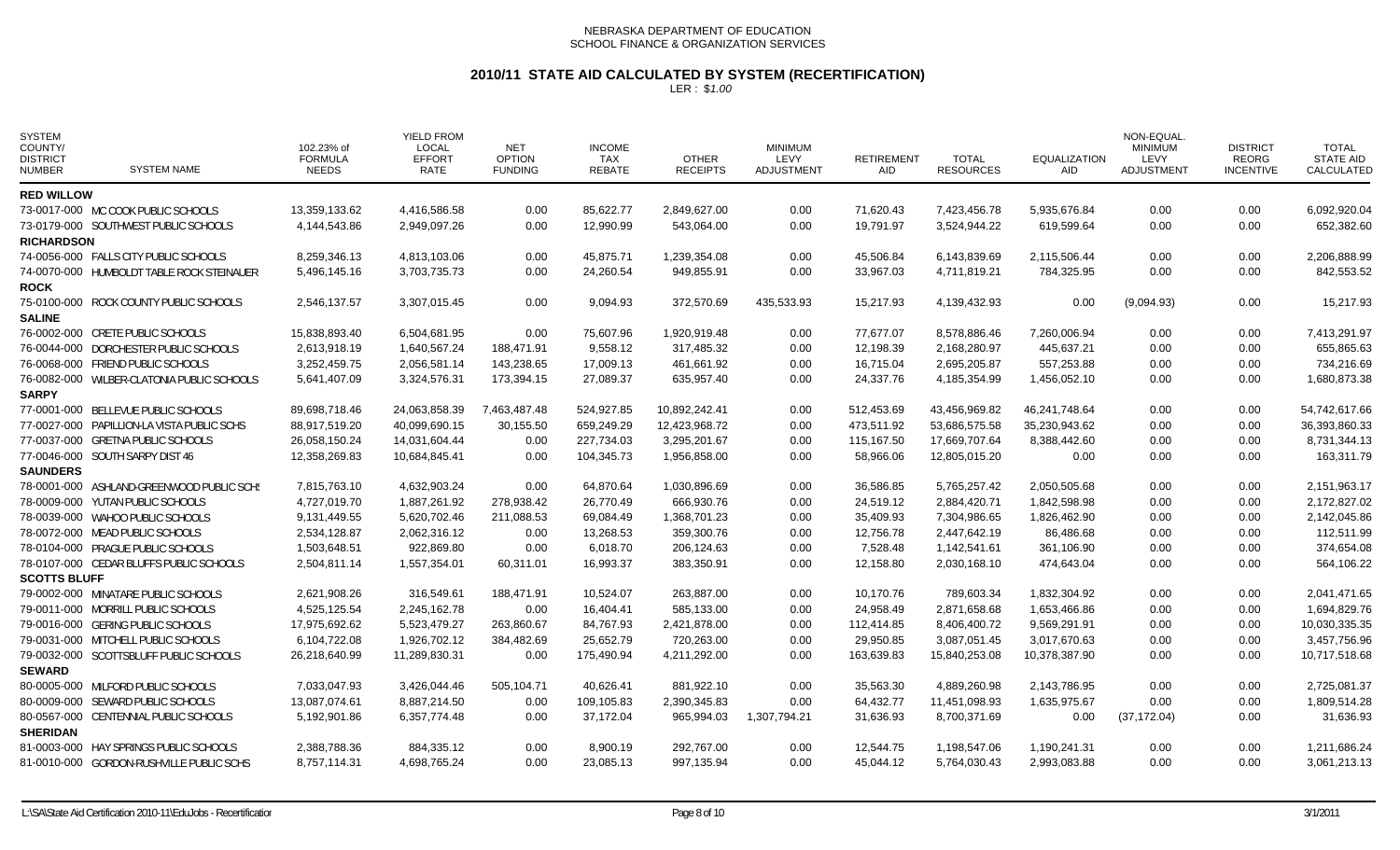# **2010/11 STATE AID CALCULATED BY SYSTEM (RECERTIFICATION)**

| <b>SYSTEM</b><br>COUNTY/<br><b>DISTRICT</b><br><b>NUMBER</b> | <b>SYSTEM NAME</b>                         | 102.23% of<br><b>FORMULA</b><br><b>NEEDS</b> | <b>YIELD FROM</b><br>LOCAL<br><b>EFFORT</b><br>RATE | <b>NET</b><br><b>OPTION</b><br><b>FUNDING</b> | <b>INCOME</b><br>TAX<br>REBATE | <b>OTHER</b><br><b>RECEIPTS</b> | <b>MINIMUM</b><br>LEVY<br>ADJUSTMENT | <b>RETIREMENT</b><br>AID | <b>TOTAL</b><br><b>RESOURCES</b> | <b>EQUALIZATION</b><br>AID | <b>NON-EQUAL</b><br><b>MINIMUM</b><br>LEVY<br>ADJUSTMENT | <b>DISTRICT</b><br><b>REORG</b><br><b>INCENTIVE</b> | <b>TOTAL</b><br><b>STATE AID</b><br>CALCULATED |
|--------------------------------------------------------------|--------------------------------------------|----------------------------------------------|-----------------------------------------------------|-----------------------------------------------|--------------------------------|---------------------------------|--------------------------------------|--------------------------|----------------------------------|----------------------------|----------------------------------------------------------|-----------------------------------------------------|------------------------------------------------|
| <b>RED WILLOW</b>                                            |                                            |                                              |                                                     |                                               |                                |                                 |                                      |                          |                                  |                            |                                                          |                                                     |                                                |
|                                                              | 73-0017-000 MC COOK PUBLIC SCHOOLS         | 13,359,133.62                                | 4,416,586.58                                        | 0.00                                          | 85,622.77                      | 2,849,627.00                    | 0.00                                 | 71,620.43                | 7,423,456.78                     | 5,935,676.84               | 0.00                                                     | 0.00                                                | 6,092,920.04                                   |
|                                                              | 73-0179-000 SOUTHWEST PUBLIC SCHOOLS       | 4,144,543.86                                 | 2,949,097.26                                        | 0.00                                          | 12,990.99                      | 543,064.00                      | 0.00                                 | 19,791.97                | 3,524,944.22                     | 619,599.64                 | 0.00                                                     | 0.00                                                | 652,382.60                                     |
| <b>RICHARDSON</b>                                            |                                            |                                              |                                                     |                                               |                                |                                 |                                      |                          |                                  |                            |                                                          |                                                     |                                                |
|                                                              | 74-0056-000 FALLS CITY PUBLIC SCHOOLS      | 8,259,346.13                                 | 4,813,103.06                                        | 0.00                                          | 45,875.71                      | 1,239,354.08                    | 0.00                                 | 45,506.84                | 6,143,839.69                     | 2,115,506.44               | 0.00                                                     | 0.00                                                | 2,206,888.99                                   |
|                                                              | 74-0070-000 HUMBOLDT TABLE ROCK STEINAUER  | 5,496,145.16                                 | 3,703,735.73                                        | 0.00                                          | 24,260.54                      | 949,855.91                      | 0.00                                 | 33,967.03                | 4,711,819.21                     | 784,325.95                 | 0.00                                                     | 0.00                                                | 842,553.52                                     |
| <b>ROCK</b>                                                  |                                            |                                              |                                                     |                                               |                                |                                 |                                      |                          |                                  |                            |                                                          |                                                     |                                                |
|                                                              | 75-0100-000 ROCK COUNTY PUBLIC SCHOOLS     | 2,546,137.57                                 | 3,307,015.45                                        | 0.00                                          | 9,094.93                       | 372,570.69                      | 435,533.93                           | 15,217.93                | 4,139,432.93                     | 0.00                       | (9,094.93)                                               | 0.00                                                | 15,217.93                                      |
| <b>SALINE</b>                                                |                                            |                                              |                                                     |                                               |                                |                                 |                                      |                          |                                  |                            |                                                          |                                                     |                                                |
|                                                              | 76-0002-000 CRETE PUBLIC SCHOOLS           | 15,838,893.40                                | 6,504,681.95                                        | 0.00                                          | 75,607.96                      | 1,920,919.48                    | 0.00                                 | 77.677.07                | 8,578,886.46                     | 7,260,006.94               | 0.00                                                     | 0.00                                                | 7,413,291.97                                   |
|                                                              | 76-0044-000 DORCHESTER PUBLIC SCHOOLS      | 2.613.918.19                                 | 1,640,567.24                                        | 188,471.91                                    | 9,558.12                       | 317,485.32                      | 0.00                                 | 12,198.39                | 2,168,280.97                     | 445,637.21                 | 0.00                                                     | 0.00                                                | 655,865.63                                     |
|                                                              | 76-0068-000 FRIEND PUBLIC SCHOOLS          | 3,252,459.75                                 | 2,056,581.14                                        | 143,238.65                                    | 17,009.13                      | 461,661.92                      | 0.00                                 | 16,715.04                | 2,695,205.87                     | 557,253.88                 | 0.00                                                     | 0.00                                                | 734,216.69                                     |
|                                                              | 76-0082-000 WILBER-CLATONIA PUBLIC SCHOOLS | 5,641,407.09                                 | 3,324,576.31                                        | 173,394.15                                    | 27,089.37                      | 635,957.40                      | 0.00                                 | 24,337.76                | 4,185,354.99                     | 1,456,052.10               | 0.00                                                     | 0.00                                                | 1,680,873.38                                   |
| <b>SARPY</b>                                                 |                                            |                                              |                                                     |                                               |                                |                                 |                                      |                          |                                  |                            |                                                          |                                                     |                                                |
|                                                              | 77-0001-000 BELLEVUE PUBLIC SCHOOLS        | 89.698.718.46                                | 24,063,858.39                                       | 7,463,487.48                                  | 524,927.85                     | 10.892.242.41                   | 0.00                                 | 512,453.69               | 43.456.969.82                    | 46.241.748.64              | 0.00                                                     | 0.00                                                | 54,742,617.66                                  |
|                                                              | 77-0027-000 PAPILLION-LA VISTA PUBLIC SCHS | 88,917,519.20                                | 40,099,690.15                                       | 30,155.50                                     | 659,249.29                     | 12,423,968.72                   | 0.00                                 | 473,511.92               | 53,686,575.58                    | 35,230,943.62              | 0.00                                                     | 0.00                                                | 36,393,860.33                                  |
|                                                              | 77-0037-000 GRETNA PUBLIC SCHOOLS          | 26,058,150.24                                | 14,031,604.44                                       | 0.00                                          | 227,734.03                     | 3,295,201.67                    | 0.00                                 | 115,167.50               | 17,669,707.64                    | 8,388,442.60               | 0.00                                                     | 0.00                                                | 8,731,344.13                                   |
|                                                              | 77-0046-000 SOUTH SARPY DIST 46            | 12,358,269.83                                | 10,684,845.41                                       | 0.00                                          | 104,345.73                     | 1,956,858.00                    | 0.00                                 | 58,966.06                | 12,805,015.20                    | 0.00                       | 0.00                                                     | 0.00                                                | 163,311.79                                     |
| <b>SAUNDERS</b>                                              |                                            |                                              |                                                     |                                               |                                |                                 |                                      |                          |                                  |                            |                                                          |                                                     |                                                |
|                                                              | 78-0001-000 ASHLAND-GREENWOOD PUBLIC SCHS  | 7,815,763.10                                 | 4,632,903.24                                        | 0.00                                          | 64,870.64                      | 1,030,896.69                    | 0.00                                 | 36,586.85                | 5,765,257.42                     | 2,050,505.68               | 0.00                                                     | 0.00                                                | 2,151,963.17                                   |
|                                                              | 78-0009-000 YUTAN PUBLIC SCHOOLS           | 4,727,019.70                                 | 1,887,261.92                                        | 278,938.42                                    | 26,770.49                      | 666,930.76                      | 0.00                                 | 24,519.12                | 2,884,420.71                     | 1,842,598.98               | 0.00                                                     | 0.00                                                | 2,172,827.02                                   |
|                                                              | 78-0039-000 WAHOO PUBLIC SCHOOLS           | 9,131,449.55                                 | 5,620,702.46                                        | 211,088.53                                    | 69,084.49                      | 1,368,701.23                    | 0.00                                 | 35,409.93                | 7,304,986.65                     | 1,826,462.90               | 0.00                                                     | 0.00                                                | 2,142,045.86                                   |
|                                                              | 78-0072-000 MEAD PUBLIC SCHOOLS            | 2,534,128.87                                 | 2,062,316.12                                        | 0.00                                          | 13,268.53                      | 359,300.76                      | 0.00                                 | 12,756.78                | 2,447,642.19                     | 86,486.68                  | 0.00                                                     | 0.00                                                | 112,511.99                                     |
|                                                              | 78-0104-000 PRAGUE PUBLIC SCHOOLS          | 1,503,648.51                                 | 922,869.80                                          | 0.00                                          | 6,018.70                       | 206,124.63                      | 0.00                                 | 7,528.48                 | 1,142,541.61                     | 361,106.90                 | 0.00                                                     | 0.00                                                | 374,654.08                                     |
|                                                              | 78-0107-000 CEDAR BLUFFS PUBLIC SCHOOLS    | 2,504,811.14                                 | 1,557,354.01                                        | 60,311.01                                     | 16,993.37                      | 383,350.91                      | 0.00                                 | 12,158.80                | 2,030,168.10                     | 474,643.04                 | 0.00                                                     | 0.00                                                | 564,106.22                                     |
| <b>SCOTTS BLUFF</b>                                          |                                            |                                              |                                                     |                                               |                                |                                 |                                      |                          |                                  |                            |                                                          |                                                     |                                                |
|                                                              | 79-0002-000 MINATARE PUBLIC SCHOOLS        | 2,621,908.26                                 | 316,549.61                                          | 188,471.91                                    | 10,524.07                      | 263,887.00                      | 0.00                                 | 10,170.76                | 789,603.34                       | 1,832,304.92               | 0.00                                                     | 0.00                                                | 2,041,471.65                                   |
|                                                              | 79-0011-000 MORRILL PUBLIC SCHOOLS         | 4,525,125.54                                 | 2,245,162.78                                        | 0.00                                          | 16,404.41                      | 585,133.00                      | 0.00                                 | 24,958.49                | 2,871,658.68                     | 1,653,466.86               | 0.00                                                     | 0.00                                                | 1,694,829.76                                   |
|                                                              | 79-0016-000 GERING PUBLIC SCHOOLS          | 17.975.692.62                                | 5.523.479.27                                        | 263,860.67                                    | 84.767.93                      | 2,421,878.00                    | 0.00                                 | 112.414.85               | 8.406.400.72                     | 9.569.291.91               | 0.00                                                     | 0.00                                                | 10.030.335.35                                  |
|                                                              | 79-0031-000 MITCHELL PUBLIC SCHOOLS        | 6,104,722.08                                 | 1,926,702.12                                        | 384,482.69                                    | 25,652.79                      | 720,263.00                      | 0.00                                 | 29,950.85                | 3,087,051.45                     | 3,017,670.63               | 0.00                                                     | 0.00                                                | 3,457,756.96                                   |
|                                                              | 79-0032-000 SCOTTSBLUFF PUBLIC SCHOOLS     | 26,218,640.99                                | 11,289,830.31                                       | 0.00                                          | 175,490.94                     | 4,211,292.00                    | 0.00                                 | 163,639.83               | 15,840,253.08                    | 10,378,387.90              | 0.00                                                     | 0.00                                                | 10,717,518.68                                  |
| <b>SEWARD</b>                                                |                                            |                                              |                                                     |                                               |                                |                                 |                                      |                          |                                  |                            |                                                          |                                                     |                                                |
|                                                              | 80-0005-000 MILFORD PUBLIC SCHOOLS         | 7,033,047.93                                 | 3,426,044.46                                        | 505,104.71                                    | 40,626.41                      | 881,922.10                      | 0.00                                 | 35,563.30                | 4,889,260.98                     | 2,143,786.95               | 0.00                                                     | 0.00                                                | 2,725,081.37                                   |
|                                                              | 80-0009-000 SEWARD PUBLIC SCHOOLS          | 13,087,074.61                                | 8,887,214.50                                        | 0.00                                          | 109,105.83                     | 2,390,345.83                    | 0.00                                 | 64,432.77                | 11,451,098.93                    | 1,635,975.67               | 0.00                                                     | 0.00                                                | 1,809,514.28                                   |
|                                                              | 80-0567-000 CENTENNIAL PUBLIC SCHOOLS      | 5,192,901.86                                 | 6,357,774.48                                        | 0.00                                          | 37,172.04                      | 965,994.03                      | 1,307,794.21                         | 31,636.93                | 8,700,371.69                     | 0.00                       | (37, 172.04)                                             | 0.00                                                | 31,636.93                                      |
| <b>SHERIDAN</b>                                              |                                            |                                              |                                                     |                                               |                                |                                 |                                      |                          |                                  |                            |                                                          |                                                     |                                                |
|                                                              | 81-0003-000 HAY SPRINGS PUBLIC SCHOOLS     | 2,388,788.36                                 | 884,335.12                                          | 0.00                                          | 8,900.19                       | 292,767.00                      | 0.00                                 | 12,544.75                | 1,198,547.06                     | 1,190,241.31               | 0.00                                                     | 0.00                                                | 1,211,686.24                                   |
|                                                              | 81-0010-000 GORDON-RUSHVILLE PUBLIC SCHS   | 8,757,114.31                                 | 4,698,765.24                                        | 0.00                                          | 23,085.13                      | 997,135.94                      | 0.00                                 | 45,044.12                | 5,764,030.43                     | 2,993,083.88               | 0.00                                                     | 0.00                                                | 3,061,213.13                                   |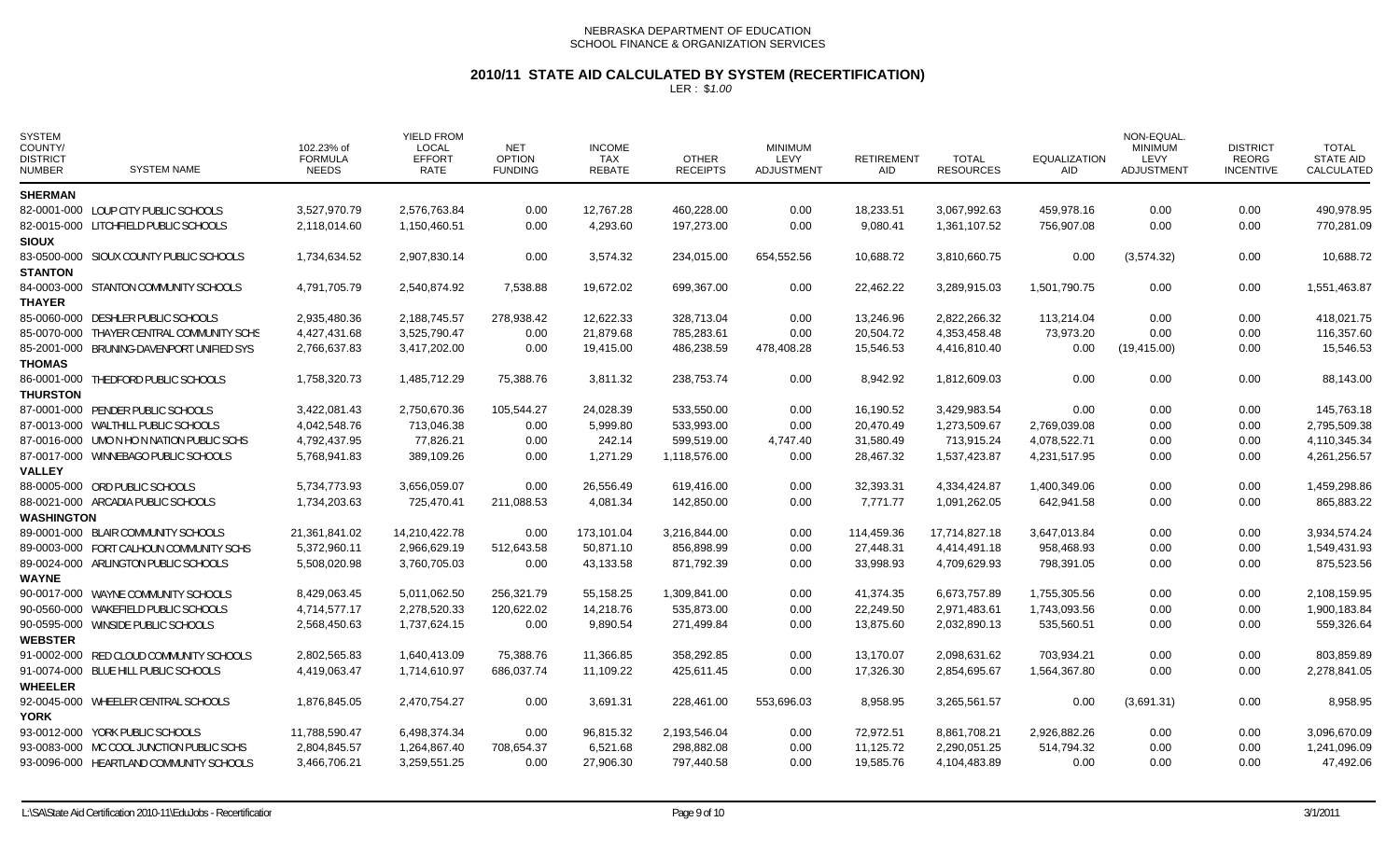# **2010/11 STATE AID CALCULATED BY SYSTEM (RECERTIFICATION)**

| <b>SYSTEM</b><br>COUNTY/<br><b>DISTRICT</b><br><b>NUMBER</b> | <b>SYSTEM NAME</b>                        | 102.23% of<br><b>FORMULA</b><br><b>NEEDS</b> | <b>YIELD FROM</b><br><b>LOCAL</b><br><b>EFFORT</b><br>RATE | <b>NET</b><br><b>OPTION</b><br><b>FUNDING</b> | <b>INCOME</b><br><b>TAX</b><br><b>REBATE</b> | <b>OTHER</b><br><b>RECEIPTS</b> | <b>MINIMUM</b><br>LEVY<br><b>ADJUSTMENT</b> | <b>RETIREMENT</b><br><b>AID</b> | <b>TOTAL</b><br><b>RESOURCES</b> | <b>EQUALIZATION</b><br><b>AID</b> | NON-EQUAL<br><b>MINIMUM</b><br>LEVY<br><b>ADJUSTMENT</b> | <b>DISTRICT</b><br><b>REORG</b><br><b>INCENTIVE</b> | <b>TOTAL</b><br><b>STATE AID</b><br>CALCULATED |
|--------------------------------------------------------------|-------------------------------------------|----------------------------------------------|------------------------------------------------------------|-----------------------------------------------|----------------------------------------------|---------------------------------|---------------------------------------------|---------------------------------|----------------------------------|-----------------------------------|----------------------------------------------------------|-----------------------------------------------------|------------------------------------------------|
| <b>SHERMAN</b>                                               |                                           |                                              |                                                            |                                               |                                              |                                 |                                             |                                 |                                  |                                   |                                                          |                                                     |                                                |
|                                                              | 82-0001-000 LOUP CITY PUBLIC SCHOOLS      | 3,527,970.79                                 | 2,576,763.84                                               | 0.00                                          | 12,767.28                                    | 460,228.00                      | 0.00                                        | 18,233.51                       | 3,067,992.63                     | 459,978.16                        | 0.00                                                     | 0.00                                                | 490,978.95                                     |
|                                                              | 82-0015-000 LITCHFIELD PUBLIC SCHOOLS     | 2,118,014.60                                 | 1,150,460.51                                               | 0.00                                          | 4,293.60                                     | 197,273.00                      | 0.00                                        | 9,080.41                        | 1,361,107.52                     | 756,907.08                        | 0.00                                                     | 0.00                                                | 770,281.09                                     |
| <b>SIOUX</b>                                                 |                                           |                                              |                                                            |                                               |                                              |                                 |                                             |                                 |                                  |                                   |                                                          |                                                     |                                                |
|                                                              | 83-0500-000 SIOUX COUNTY PUBLIC SCHOOLS   | 1,734,634.52                                 | 2,907,830.14                                               | 0.00                                          | 3,574.32                                     | 234,015.00                      | 654,552.56                                  | 10,688.72                       | 3,810,660.75                     | 0.00                              | (3,574.32)                                               | 0.00                                                | 10,688.72                                      |
| <b>STANTON</b>                                               |                                           |                                              |                                                            |                                               |                                              |                                 |                                             |                                 |                                  |                                   |                                                          |                                                     |                                                |
|                                                              | 84-0003-000 STANTON COMMUNITY SCHOOLS     | 4,791,705.79                                 | 2,540,874.92                                               | 7,538.88                                      | 19,672.02                                    | 699,367.00                      | 0.00                                        | 22,462.22                       | 3,289,915.03                     | 1,501,790.75                      | 0.00                                                     | 0.00                                                | 1,551,463.87                                   |
| <b>THAYER</b>                                                |                                           |                                              |                                                            |                                               |                                              |                                 |                                             |                                 |                                  |                                   |                                                          |                                                     |                                                |
|                                                              | 85-0060-000 DESHLER PUBLIC SCHOOLS        | 2,935,480.36                                 | 2,188,745.57                                               | 278,938.42                                    | 12,622.33                                    | 328,713.04                      | 0.00                                        | 13,246.96                       | 2,822,266.32                     | 113,214.04                        | 0.00                                                     | 0.00                                                | 418,021.75                                     |
|                                                              | 85-0070-000 THAYER CENTRAL COMMUNITY SCHS | 4,427,431.68                                 | 3,525,790.47                                               | 0.00                                          | 21,879.68                                    | 785,283.61                      | 0.00                                        | 20,504.72                       | 4,353,458.48                     | 73,973.20                         | 0.00                                                     | 0.00                                                | 116,357.60                                     |
|                                                              | 85-2001-000 BRUNING-DAVENPORT UNIFIED SYS | 2,766,637.83                                 | 3,417,202.00                                               | 0.00                                          | 19,415.00                                    | 486,238.59                      | 478,408.28                                  | 15,546.53                       | 4,416,810.40                     | 0.00                              | (19, 415.00)                                             | 0.00                                                | 15,546.53                                      |
| <b>THOMAS</b>                                                |                                           |                                              |                                                            |                                               |                                              |                                 |                                             |                                 |                                  |                                   |                                                          |                                                     |                                                |
| <b>THURSTON</b>                                              | 86-0001-000 THEDFORD PUBLIC SCHOOLS       | 1,758,320.73                                 | 1,485,712.29                                               | 75,388.76                                     | 3,811.32                                     | 238,753.74                      | 0.00                                        | 8,942.92                        | 1,812,609.03                     | 0.00                              | 0.00                                                     | 0.00                                                | 88,143.00                                      |
|                                                              | 87-0001-000 PENDER PUBLIC SCHOOLS         | 3,422,081.43                                 | 2,750,670.36                                               | 105.544.27                                    | 24,028.39                                    | 533,550.00                      | 0.00                                        | 16.190.52                       | 3.429.983.54                     | 0.00                              | 0.00                                                     | 0.00                                                | 145.763.18                                     |
|                                                              | 87-0013-000 WALTHILL PUBLIC SCHOOLS       | 4,042,548.76                                 | 713,046.38                                                 | 0.00                                          | 5,999.80                                     | 533,993.00                      | 0.00                                        | 20,470.49                       | 1,273,509.67                     | 2,769,039.08                      | 0.00                                                     | 0.00                                                | 2,795,509.38                                   |
|                                                              | 87-0016-000 UMO N HO N NATION PUBLIC SCHS | 4,792,437.95                                 | 77,826.21                                                  | 0.00                                          | 242.14                                       | 599,519.00                      | 4,747.40                                    | 31,580.49                       | 713,915.24                       | 4,078,522.71                      | 0.00                                                     | 0.00                                                | 4,110,345.34                                   |
|                                                              | 87-0017-000 WINNEBAGO PUBLIC SCHOOLS      | 5,768,941.83                                 | 389,109.26                                                 | 0.00                                          | 1,271.29                                     | 1,118,576.00                    | 0.00                                        | 28,467.32                       | 1,537,423.87                     | 4,231,517.95                      | 0.00                                                     | 0.00                                                | 4,261,256.57                                   |
| <b>VALLEY</b>                                                |                                           |                                              |                                                            |                                               |                                              |                                 |                                             |                                 |                                  |                                   |                                                          |                                                     |                                                |
|                                                              | 88-0005-000 ORD PUBLIC SCHOOLS            | 5,734,773.93                                 | 3,656,059.07                                               | 0.00                                          | 26,556.49                                    | 619,416.00                      | 0.00                                        | 32,393.31                       | 4,334,424.87                     | 1,400,349.06                      | 0.00                                                     | 0.00                                                | 1,459,298.86                                   |
|                                                              | 88-0021-000 ARCADIA PUBLIC SCHOOLS        | 1,734,203.63                                 | 725,470.41                                                 | 211,088.53                                    | 4,081.34                                     | 142,850.00                      | 0.00                                        | 7,771.77                        | 1,091,262.05                     | 642,941.58                        | 0.00                                                     | 0.00                                                | 865,883.22                                     |
| <b>WASHINGTON</b>                                            |                                           |                                              |                                                            |                                               |                                              |                                 |                                             |                                 |                                  |                                   |                                                          |                                                     |                                                |
|                                                              | 89-0001-000 BLAIR COMMUNITY SCHOOLS       | 21,361,841.02                                | 14,210,422.78                                              | 0.00                                          | 173,101.04                                   | 3,216,844.00                    | 0.00                                        | 114,459.36                      | 17,714,827.18                    | 3,647,013.84                      | 0.00                                                     | 0.00                                                | 3,934,574.24                                   |
|                                                              | 89-0003-000 FORT CALHOUN COMMUNITY SCHS   | 5,372,960.11                                 | 2,966,629.19                                               | 512,643.58                                    | 50,871.10                                    | 856,898.99                      | 0.00                                        | 27,448.31                       | 4,414,491.18                     | 958,468.93                        | 0.00                                                     | 0.00                                                | 1,549,431.93                                   |
|                                                              | 89-0024-000 ARLINGTON PUBLIC SCHOOLS      | 5,508,020.98                                 | 3,760,705.03                                               | 0.00                                          | 43,133.58                                    | 871,792.39                      | 0.00                                        | 33,998.93                       | 4,709,629.93                     | 798,391.05                        | 0.00                                                     | 0.00                                                | 875,523.56                                     |
| WAYNE                                                        |                                           |                                              |                                                            |                                               |                                              |                                 |                                             |                                 |                                  |                                   |                                                          |                                                     |                                                |
|                                                              | 90-0017-000 WAYNE COMMUNITY SCHOOLS       | 8,429,063.45                                 | 5,011,062.50                                               | 256,321.79                                    | 55,158.25                                    | 1,309,841.00                    | 0.00                                        | 41,374.35                       | 6,673,757.89                     | 1,755,305.56                      | 0.00                                                     | 0.00                                                | 2,108,159.95                                   |
|                                                              | 90-0560-000 WAKEFIELD PUBLIC SCHOOLS      | 4,714,577.17                                 | 2,278,520.33                                               | 120,622.02                                    | 14,218.76                                    | 535,873.00                      | 0.00                                        | 22,249.50                       | 2,971,483.61                     | 1,743,093.56                      | 0.00                                                     | 0.00                                                | 1,900,183.84                                   |
|                                                              | 90-0595-000 WINSIDE PUBLIC SCHOOLS        | 2,568,450.63                                 | 1,737,624.15                                               | 0.00                                          | 9,890.54                                     | 271,499.84                      | 0.00                                        | 13,875.60                       | 2,032,890.13                     | 535,560.51                        | 0.00                                                     | 0.00                                                | 559,326.64                                     |
| <b>WEBSTER</b>                                               |                                           |                                              |                                                            |                                               |                                              |                                 |                                             |                                 |                                  |                                   |                                                          |                                                     |                                                |
|                                                              | 91-0002-000 RED CLOUD COMMUNITY SCHOOLS   | 2,802,565.83                                 | 1,640,413.09                                               | 75,388.76                                     | 11,366.85                                    | 358,292.85                      | 0.00                                        | 13,170.07                       | 2,098,631.62                     | 703,934.21                        | 0.00                                                     | 0.00                                                | 803,859.89                                     |
|                                                              | 91-0074-000 BLUE HILL PUBLIC SCHOOLS      | 4,419,063.47                                 | 1,714,610.97                                               | 686,037.74                                    | 11,109.22                                    | 425,611.45                      | 0.00                                        | 17,326.30                       | 2,854,695.67                     | 1,564,367.80                      | 0.00                                                     | 0.00                                                | 2,278,841.05                                   |
| <b>WHEELER</b>                                               |                                           |                                              |                                                            |                                               |                                              |                                 |                                             |                                 |                                  |                                   |                                                          |                                                     |                                                |
|                                                              | 92-0045-000 WHEELER CENTRAL SCHOOLS       | 1,876,845.05                                 | 2,470,754.27                                               | 0.00                                          | 3,691.31                                     | 228,461.00                      | 553,696.03                                  | 8,958.95                        | 3,265,561.57                     | 0.00                              | (3,691.31)                                               | 0.00                                                | 8,958.95                                       |
| YORK                                                         |                                           |                                              |                                                            |                                               |                                              |                                 |                                             |                                 |                                  |                                   |                                                          |                                                     |                                                |
|                                                              | 93-0012-000 YORK PUBLIC SCHOOLS           | 11,788,590.47                                | 6,498,374.34                                               | 0.00                                          | 96,815.32                                    | 2,193,546.04                    | 0.00                                        | 72,972.51                       | 8,861,708.21                     | 2,926,882.26                      | 0.00                                                     | 0.00                                                | 3,096,670.09                                   |
|                                                              | 93-0083-000 MC COOL JUNCTION PUBLIC SCHS  | 2,804,845.57                                 | 1,264,867.40                                               | 708,654.37                                    | 6,521.68                                     | 298,882.08                      | 0.00                                        | 11,125.72                       | 2,290,051.25                     | 514,794.32                        | 0.00                                                     | 0.00                                                | 1,241,096.09                                   |
|                                                              | 93-0096-000 HEARTLAND COMMUNITY SCHOOLS   | 3,466,706.21                                 | 3,259,551.25                                               | 0.00                                          | 27,906.30                                    | 797,440.58                      | 0.00                                        | 19,585.76                       | 4,104,483.89                     | 0.00                              | 0.00                                                     | 0.00                                                | 47,492.06                                      |